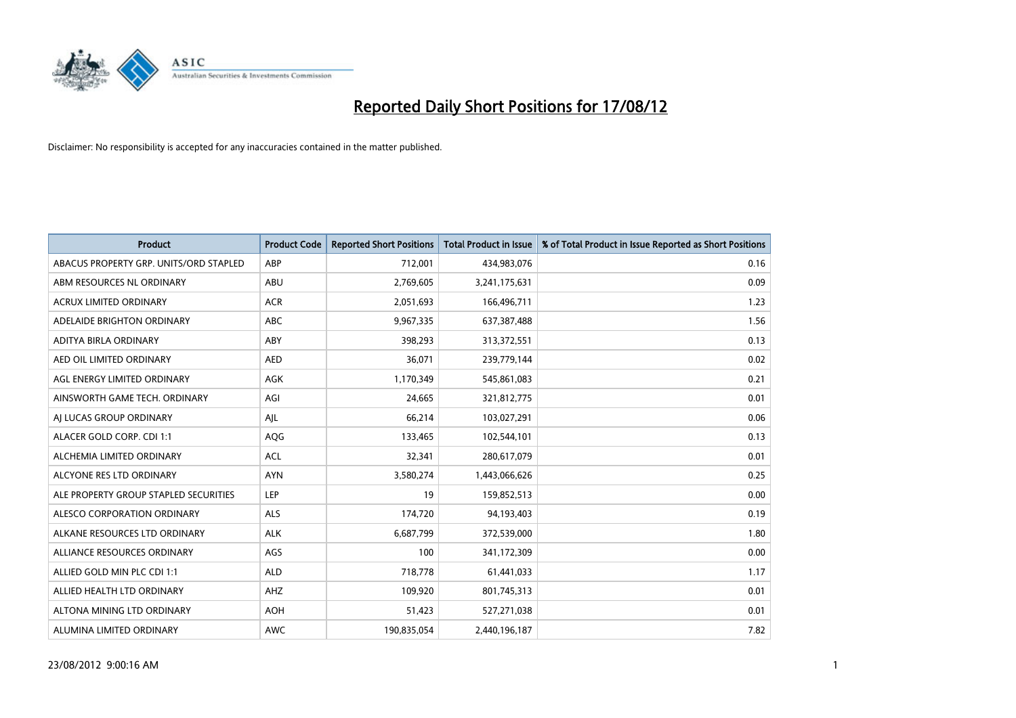

| <b>Product</b>                         | <b>Product Code</b> | <b>Reported Short Positions</b> | <b>Total Product in Issue</b> | % of Total Product in Issue Reported as Short Positions |
|----------------------------------------|---------------------|---------------------------------|-------------------------------|---------------------------------------------------------|
| ABACUS PROPERTY GRP. UNITS/ORD STAPLED | ABP                 | 712,001                         | 434,983,076                   | 0.16                                                    |
| ABM RESOURCES NL ORDINARY              | <b>ABU</b>          | 2,769,605                       | 3,241,175,631                 | 0.09                                                    |
| <b>ACRUX LIMITED ORDINARY</b>          | <b>ACR</b>          | 2,051,693                       | 166,496,711                   | 1.23                                                    |
| ADELAIDE BRIGHTON ORDINARY             | <b>ABC</b>          | 9,967,335                       | 637,387,488                   | 1.56                                                    |
| ADITYA BIRLA ORDINARY                  | ABY                 | 398,293                         | 313,372,551                   | 0.13                                                    |
| AED OIL LIMITED ORDINARY               | <b>AED</b>          | 36,071                          | 239,779,144                   | 0.02                                                    |
| AGL ENERGY LIMITED ORDINARY            | <b>AGK</b>          | 1,170,349                       | 545,861,083                   | 0.21                                                    |
| AINSWORTH GAME TECH. ORDINARY          | AGI                 | 24,665                          | 321,812,775                   | 0.01                                                    |
| AI LUCAS GROUP ORDINARY                | AJL                 | 66,214                          | 103,027,291                   | 0.06                                                    |
| ALACER GOLD CORP. CDI 1:1              | AQG                 | 133,465                         | 102,544,101                   | 0.13                                                    |
| ALCHEMIA LIMITED ORDINARY              | <b>ACL</b>          | 32,341                          | 280,617,079                   | 0.01                                                    |
| ALCYONE RES LTD ORDINARY               | <b>AYN</b>          | 3,580,274                       | 1,443,066,626                 | 0.25                                                    |
| ALE PROPERTY GROUP STAPLED SECURITIES  | LEP                 | 19                              | 159,852,513                   | 0.00                                                    |
| ALESCO CORPORATION ORDINARY            | ALS                 | 174,720                         | 94,193,403                    | 0.19                                                    |
| ALKANE RESOURCES LTD ORDINARY          | <b>ALK</b>          | 6,687,799                       | 372,539,000                   | 1.80                                                    |
| ALLIANCE RESOURCES ORDINARY            | AGS                 | 100                             | 341,172,309                   | 0.00                                                    |
| ALLIED GOLD MIN PLC CDI 1:1            | <b>ALD</b>          | 718,778                         | 61,441,033                    | 1.17                                                    |
| ALLIED HEALTH LTD ORDINARY             | AHZ                 | 109,920                         | 801,745,313                   | 0.01                                                    |
| ALTONA MINING LTD ORDINARY             | <b>AOH</b>          | 51,423                          | 527,271,038                   | 0.01                                                    |
| ALUMINA LIMITED ORDINARY               | <b>AWC</b>          | 190,835,054                     | 2,440,196,187                 | 7.82                                                    |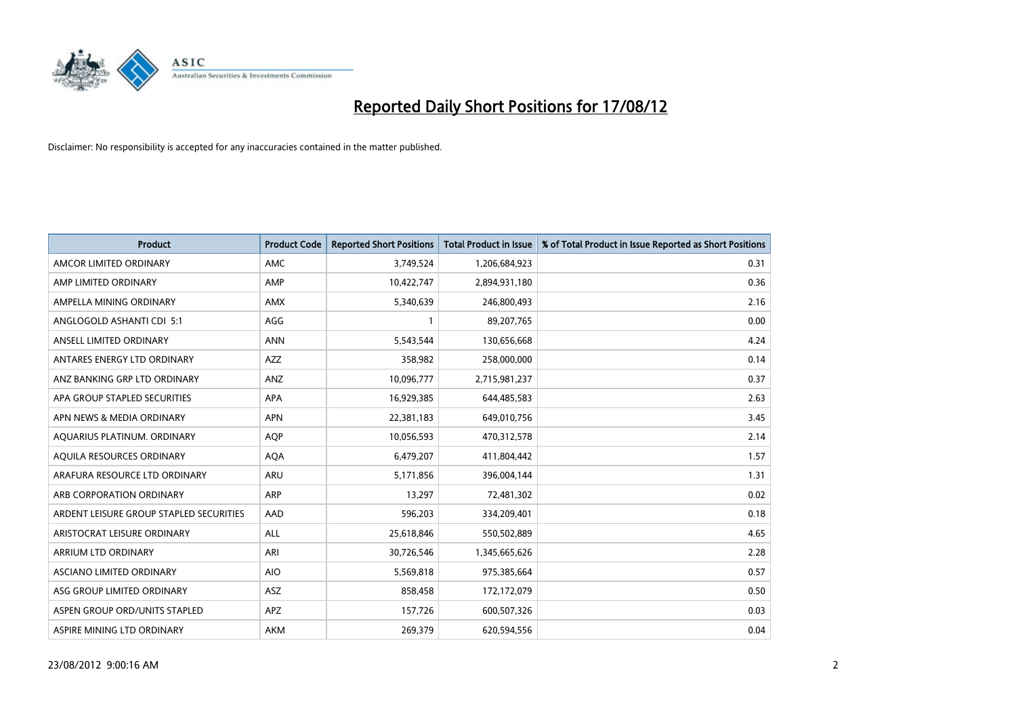

| <b>Product</b>                          | <b>Product Code</b> | <b>Reported Short Positions</b> | <b>Total Product in Issue</b> | % of Total Product in Issue Reported as Short Positions |
|-----------------------------------------|---------------------|---------------------------------|-------------------------------|---------------------------------------------------------|
| AMCOR LIMITED ORDINARY                  | <b>AMC</b>          | 3,749,524                       | 1,206,684,923                 | 0.31                                                    |
| AMP LIMITED ORDINARY                    | AMP                 | 10,422,747                      | 2,894,931,180                 | 0.36                                                    |
| AMPELLA MINING ORDINARY                 | <b>AMX</b>          | 5,340,639                       | 246,800,493                   | 2.16                                                    |
| ANGLOGOLD ASHANTI CDI 5:1               | AGG                 | $\mathbf{1}$                    | 89,207,765                    | 0.00                                                    |
| ANSELL LIMITED ORDINARY                 | <b>ANN</b>          | 5,543,544                       | 130,656,668                   | 4.24                                                    |
| ANTARES ENERGY LTD ORDINARY             | <b>AZZ</b>          | 358,982                         | 258,000,000                   | 0.14                                                    |
| ANZ BANKING GRP LTD ORDINARY            | ANZ                 | 10,096,777                      | 2,715,981,237                 | 0.37                                                    |
| APA GROUP STAPLED SECURITIES            | <b>APA</b>          | 16,929,385                      | 644,485,583                   | 2.63                                                    |
| APN NEWS & MEDIA ORDINARY               | <b>APN</b>          | 22,381,183                      | 649,010,756                   | 3.45                                                    |
| AQUARIUS PLATINUM. ORDINARY             | <b>AOP</b>          | 10,056,593                      | 470,312,578                   | 2.14                                                    |
| AQUILA RESOURCES ORDINARY               | <b>AQA</b>          | 6,479,207                       | 411,804,442                   | 1.57                                                    |
| ARAFURA RESOURCE LTD ORDINARY           | <b>ARU</b>          | 5,171,856                       | 396,004,144                   | 1.31                                                    |
| ARB CORPORATION ORDINARY                | <b>ARP</b>          | 13,297                          | 72,481,302                    | 0.02                                                    |
| ARDENT LEISURE GROUP STAPLED SECURITIES | AAD                 | 596,203                         | 334,209,401                   | 0.18                                                    |
| ARISTOCRAT LEISURE ORDINARY             | ALL                 | 25,618,846                      | 550,502,889                   | 4.65                                                    |
| ARRIUM LTD ORDINARY                     | ARI                 | 30,726,546                      | 1,345,665,626                 | 2.28                                                    |
| ASCIANO LIMITED ORDINARY                | <b>AIO</b>          | 5,569,818                       | 975,385,664                   | 0.57                                                    |
| ASG GROUP LIMITED ORDINARY              | <b>ASZ</b>          | 858,458                         | 172,172,079                   | 0.50                                                    |
| ASPEN GROUP ORD/UNITS STAPLED           | <b>APZ</b>          | 157,726                         | 600,507,326                   | 0.03                                                    |
| ASPIRE MINING LTD ORDINARY              | <b>AKM</b>          | 269,379                         | 620,594,556                   | 0.04                                                    |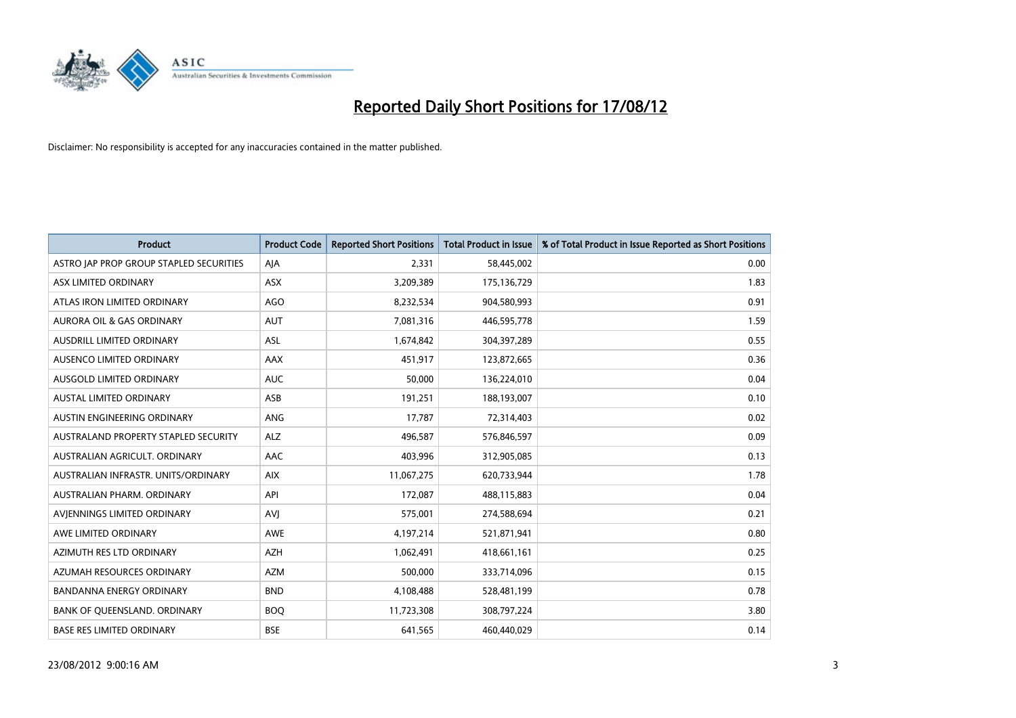

| <b>Product</b>                          | <b>Product Code</b> | <b>Reported Short Positions</b> | <b>Total Product in Issue</b> | % of Total Product in Issue Reported as Short Positions |
|-----------------------------------------|---------------------|---------------------------------|-------------------------------|---------------------------------------------------------|
| ASTRO JAP PROP GROUP STAPLED SECURITIES | AJA                 | 2,331                           | 58,445,002                    | 0.00                                                    |
| ASX LIMITED ORDINARY                    | <b>ASX</b>          | 3,209,389                       | 175,136,729                   | 1.83                                                    |
| ATLAS IRON LIMITED ORDINARY             | <b>AGO</b>          | 8,232,534                       | 904,580,993                   | 0.91                                                    |
| AURORA OIL & GAS ORDINARY               | <b>AUT</b>          | 7,081,316                       | 446,595,778                   | 1.59                                                    |
| AUSDRILL LIMITED ORDINARY               | ASL                 | 1,674,842                       | 304,397,289                   | 0.55                                                    |
| AUSENCO LIMITED ORDINARY                | <b>AAX</b>          | 451,917                         | 123,872,665                   | 0.36                                                    |
| AUSGOLD LIMITED ORDINARY                | <b>AUC</b>          | 50,000                          | 136,224,010                   | 0.04                                                    |
| AUSTAL LIMITED ORDINARY                 | ASB                 | 191,251                         | 188,193,007                   | 0.10                                                    |
| AUSTIN ENGINEERING ORDINARY             | <b>ANG</b>          | 17,787                          | 72,314,403                    | 0.02                                                    |
| AUSTRALAND PROPERTY STAPLED SECURITY    | <b>ALZ</b>          | 496,587                         | 576,846,597                   | 0.09                                                    |
| AUSTRALIAN AGRICULT. ORDINARY           | AAC                 | 403,996                         | 312,905,085                   | 0.13                                                    |
| AUSTRALIAN INFRASTR, UNITS/ORDINARY     | <b>AIX</b>          | 11,067,275                      | 620,733,944                   | 1.78                                                    |
| AUSTRALIAN PHARM. ORDINARY              | API                 | 172,087                         | 488,115,883                   | 0.04                                                    |
| AVIENNINGS LIMITED ORDINARY             | AVI                 | 575,001                         | 274,588,694                   | 0.21                                                    |
| AWE LIMITED ORDINARY                    | <b>AWE</b>          | 4,197,214                       | 521,871,941                   | 0.80                                                    |
| AZIMUTH RES LTD ORDINARY                | <b>AZH</b>          | 1,062,491                       | 418,661,161                   | 0.25                                                    |
| AZUMAH RESOURCES ORDINARY               | <b>AZM</b>          | 500,000                         | 333,714,096                   | 0.15                                                    |
| BANDANNA ENERGY ORDINARY                | <b>BND</b>          | 4,108,488                       | 528,481,199                   | 0.78                                                    |
| BANK OF QUEENSLAND. ORDINARY            | <b>BOQ</b>          | 11,723,308                      | 308,797,224                   | 3.80                                                    |
| <b>BASE RES LIMITED ORDINARY</b>        | <b>BSE</b>          | 641,565                         | 460,440,029                   | 0.14                                                    |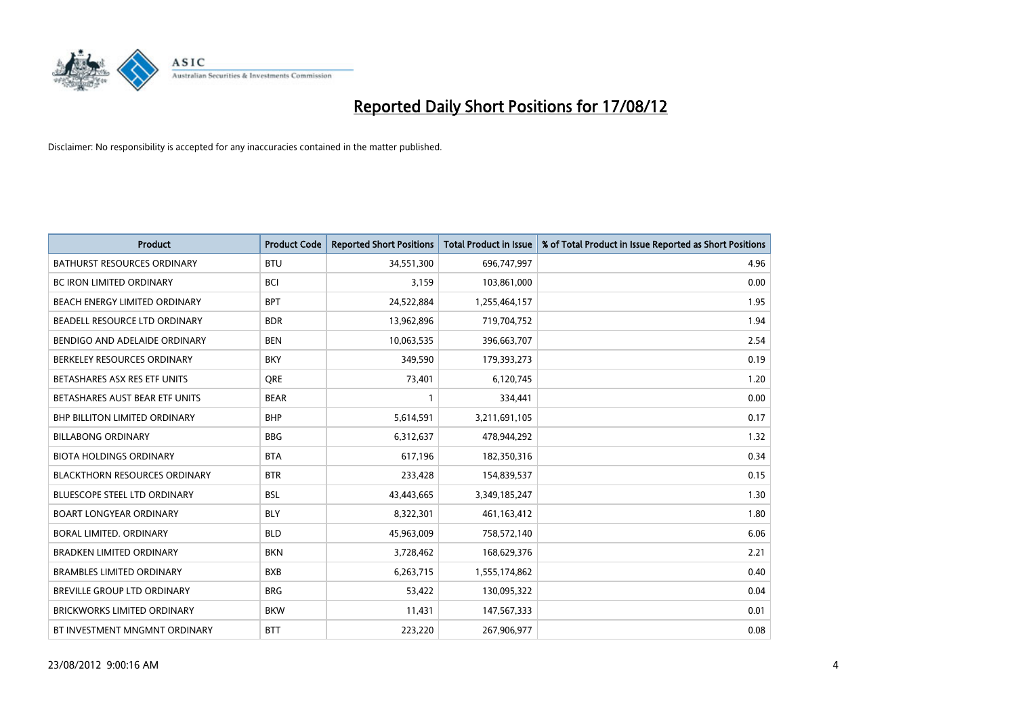

| <b>Product</b>                       | <b>Product Code</b> | <b>Reported Short Positions</b> | <b>Total Product in Issue</b> | % of Total Product in Issue Reported as Short Positions |
|--------------------------------------|---------------------|---------------------------------|-------------------------------|---------------------------------------------------------|
| <b>BATHURST RESOURCES ORDINARY</b>   | <b>BTU</b>          | 34,551,300                      | 696,747,997                   | 4.96                                                    |
| BC IRON LIMITED ORDINARY             | <b>BCI</b>          | 3,159                           | 103,861,000                   | 0.00                                                    |
| BEACH ENERGY LIMITED ORDINARY        | <b>BPT</b>          | 24,522,884                      | 1,255,464,157                 | 1.95                                                    |
| BEADELL RESOURCE LTD ORDINARY        | <b>BDR</b>          | 13,962,896                      | 719,704,752                   | 1.94                                                    |
| BENDIGO AND ADELAIDE ORDINARY        | <b>BEN</b>          | 10,063,535                      | 396,663,707                   | 2.54                                                    |
| BERKELEY RESOURCES ORDINARY          | <b>BKY</b>          | 349,590                         | 179,393,273                   | 0.19                                                    |
| BETASHARES ASX RES ETF UNITS         | <b>ORE</b>          | 73,401                          | 6,120,745                     | 1.20                                                    |
| BETASHARES AUST BEAR ETF UNITS       | <b>BEAR</b>         |                                 | 334,441                       | 0.00                                                    |
| BHP BILLITON LIMITED ORDINARY        | <b>BHP</b>          | 5,614,591                       | 3,211,691,105                 | 0.17                                                    |
| <b>BILLABONG ORDINARY</b>            | <b>BBG</b>          | 6,312,637                       | 478,944,292                   | 1.32                                                    |
| <b>BIOTA HOLDINGS ORDINARY</b>       | <b>BTA</b>          | 617,196                         | 182,350,316                   | 0.34                                                    |
| <b>BLACKTHORN RESOURCES ORDINARY</b> | <b>BTR</b>          | 233,428                         | 154,839,537                   | 0.15                                                    |
| <b>BLUESCOPE STEEL LTD ORDINARY</b>  | <b>BSL</b>          | 43,443,665                      | 3,349,185,247                 | 1.30                                                    |
| <b>BOART LONGYEAR ORDINARY</b>       | <b>BLY</b>          | 8,322,301                       | 461,163,412                   | 1.80                                                    |
| BORAL LIMITED, ORDINARY              | <b>BLD</b>          | 45,963,009                      | 758,572,140                   | 6.06                                                    |
| <b>BRADKEN LIMITED ORDINARY</b>      | <b>BKN</b>          | 3,728,462                       | 168,629,376                   | 2.21                                                    |
| <b>BRAMBLES LIMITED ORDINARY</b>     | <b>BXB</b>          | 6,263,715                       | 1,555,174,862                 | 0.40                                                    |
| BREVILLE GROUP LTD ORDINARY          | <b>BRG</b>          | 53,422                          | 130,095,322                   | 0.04                                                    |
| <b>BRICKWORKS LIMITED ORDINARY</b>   | <b>BKW</b>          | 11,431                          | 147,567,333                   | 0.01                                                    |
| BT INVESTMENT MNGMNT ORDINARY        | <b>BTT</b>          | 223,220                         | 267,906,977                   | 0.08                                                    |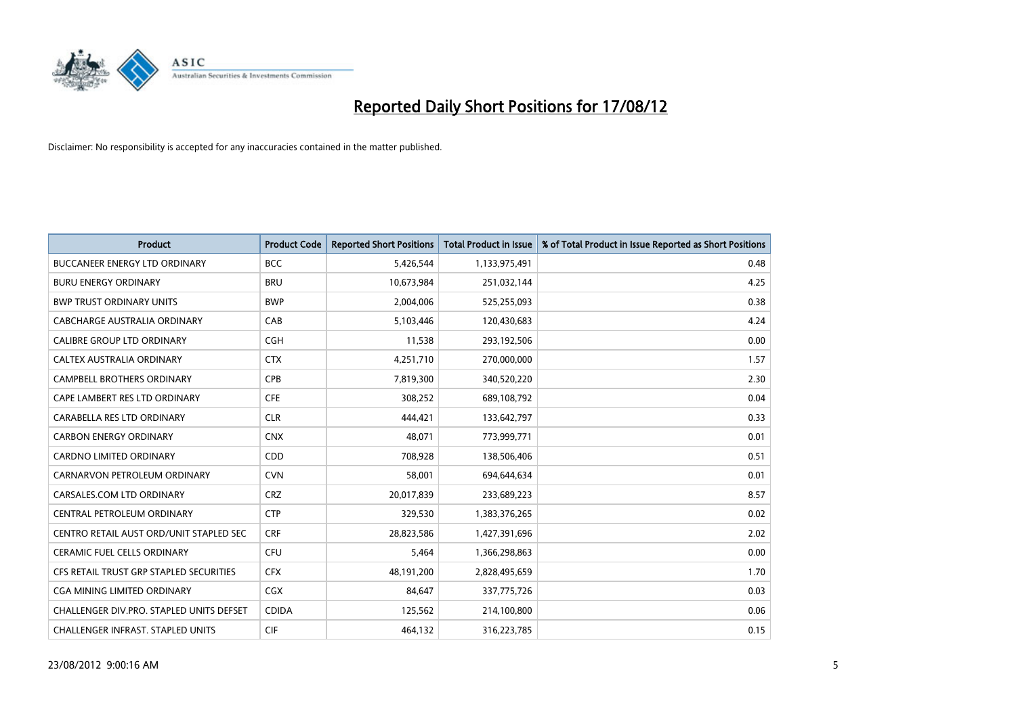

| <b>Product</b>                           | <b>Product Code</b> | <b>Reported Short Positions</b> | <b>Total Product in Issue</b> | % of Total Product in Issue Reported as Short Positions |
|------------------------------------------|---------------------|---------------------------------|-------------------------------|---------------------------------------------------------|
| <b>BUCCANEER ENERGY LTD ORDINARY</b>     | <b>BCC</b>          | 5,426,544                       | 1,133,975,491                 | 0.48                                                    |
| <b>BURU ENERGY ORDINARY</b>              | <b>BRU</b>          | 10,673,984                      | 251,032,144                   | 4.25                                                    |
| <b>BWP TRUST ORDINARY UNITS</b>          | <b>BWP</b>          | 2,004,006                       | 525,255,093                   | 0.38                                                    |
| CABCHARGE AUSTRALIA ORDINARY             | CAB                 | 5,103,446                       | 120,430,683                   | 4.24                                                    |
| <b>CALIBRE GROUP LTD ORDINARY</b>        | <b>CGH</b>          | 11,538                          | 293,192,506                   | 0.00                                                    |
| <b>CALTEX AUSTRALIA ORDINARY</b>         | <b>CTX</b>          | 4,251,710                       | 270,000,000                   | 1.57                                                    |
| <b>CAMPBELL BROTHERS ORDINARY</b>        | <b>CPB</b>          | 7,819,300                       | 340,520,220                   | 2.30                                                    |
| CAPE LAMBERT RES LTD ORDINARY            | <b>CFE</b>          | 308,252                         | 689,108,792                   | 0.04                                                    |
| CARABELLA RES LTD ORDINARY               | <b>CLR</b>          | 444,421                         | 133,642,797                   | 0.33                                                    |
| <b>CARBON ENERGY ORDINARY</b>            | <b>CNX</b>          | 48,071                          | 773,999,771                   | 0.01                                                    |
| CARDNO LIMITED ORDINARY                  | <b>CDD</b>          | 708,928                         | 138,506,406                   | 0.51                                                    |
| CARNARVON PETROLEUM ORDINARY             | <b>CVN</b>          | 58,001                          | 694,644,634                   | 0.01                                                    |
| CARSALES.COM LTD ORDINARY                | <b>CRZ</b>          | 20,017,839                      | 233,689,223                   | 8.57                                                    |
| CENTRAL PETROLEUM ORDINARY               | <b>CTP</b>          | 329,530                         | 1,383,376,265                 | 0.02                                                    |
| CENTRO RETAIL AUST ORD/UNIT STAPLED SEC  | <b>CRF</b>          | 28,823,586                      | 1,427,391,696                 | 2.02                                                    |
| CERAMIC FUEL CELLS ORDINARY              | CFU                 | 5,464                           | 1,366,298,863                 | 0.00                                                    |
| CFS RETAIL TRUST GRP STAPLED SECURITIES  | <b>CFX</b>          | 48,191,200                      | 2,828,495,659                 | 1.70                                                    |
| <b>CGA MINING LIMITED ORDINARY</b>       | <b>CGX</b>          | 84,647                          | 337,775,726                   | 0.03                                                    |
| CHALLENGER DIV.PRO. STAPLED UNITS DEFSET | <b>CDIDA</b>        | 125,562                         | 214,100,800                   | 0.06                                                    |
| CHALLENGER INFRAST. STAPLED UNITS        | <b>CIF</b>          | 464,132                         | 316,223,785                   | 0.15                                                    |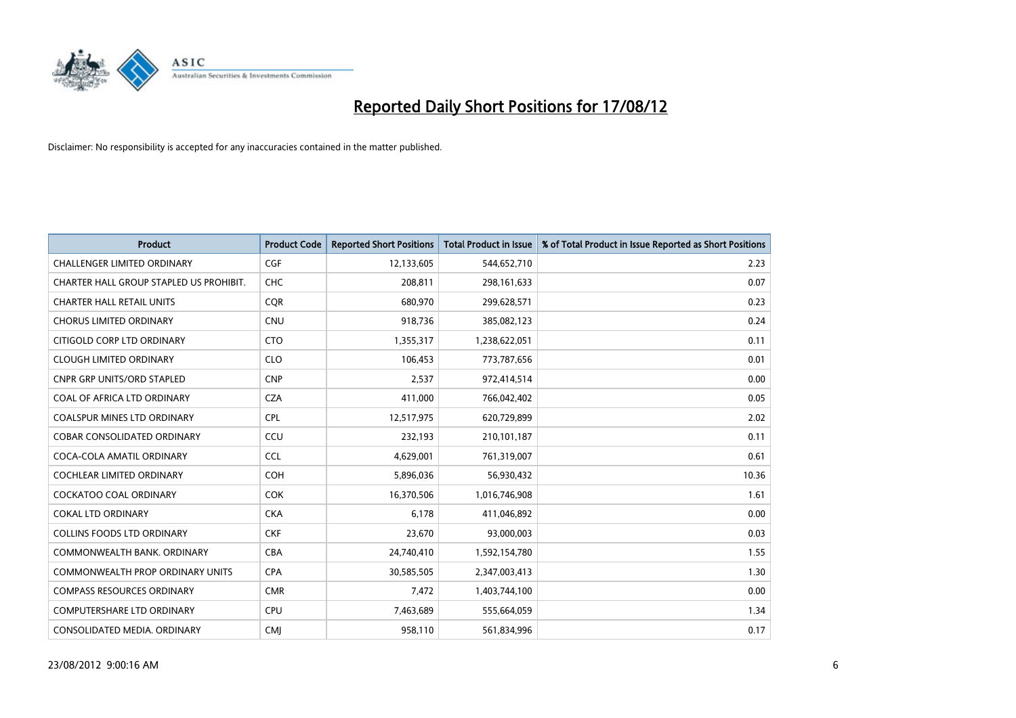

| <b>Product</b>                          | <b>Product Code</b> | <b>Reported Short Positions</b> | <b>Total Product in Issue</b> | % of Total Product in Issue Reported as Short Positions |
|-----------------------------------------|---------------------|---------------------------------|-------------------------------|---------------------------------------------------------|
| <b>CHALLENGER LIMITED ORDINARY</b>      | <b>CGF</b>          | 12,133,605                      | 544,652,710                   | 2.23                                                    |
| CHARTER HALL GROUP STAPLED US PROHIBIT. | <b>CHC</b>          | 208,811                         | 298,161,633                   | 0.07                                                    |
| <b>CHARTER HALL RETAIL UNITS</b>        | <b>COR</b>          | 680,970                         | 299,628,571                   | 0.23                                                    |
| <b>CHORUS LIMITED ORDINARY</b>          | <b>CNU</b>          | 918,736                         | 385,082,123                   | 0.24                                                    |
| CITIGOLD CORP LTD ORDINARY              | <b>CTO</b>          | 1,355,317                       | 1,238,622,051                 | 0.11                                                    |
| <b>CLOUGH LIMITED ORDINARY</b>          | <b>CLO</b>          | 106,453                         | 773,787,656                   | 0.01                                                    |
| <b>CNPR GRP UNITS/ORD STAPLED</b>       | <b>CNP</b>          | 2,537                           | 972,414,514                   | 0.00                                                    |
| COAL OF AFRICA LTD ORDINARY             | <b>CZA</b>          | 411,000                         | 766,042,402                   | 0.05                                                    |
| <b>COALSPUR MINES LTD ORDINARY</b>      | <b>CPL</b>          | 12,517,975                      | 620,729,899                   | 2.02                                                    |
| <b>COBAR CONSOLIDATED ORDINARY</b>      | CCU                 | 232,193                         | 210,101,187                   | 0.11                                                    |
| COCA-COLA AMATIL ORDINARY               | <b>CCL</b>          | 4,629,001                       | 761,319,007                   | 0.61                                                    |
| <b>COCHLEAR LIMITED ORDINARY</b>        | <b>COH</b>          | 5,896,036                       | 56,930,432                    | 10.36                                                   |
| COCKATOO COAL ORDINARY                  | <b>COK</b>          | 16,370,506                      | 1,016,746,908                 | 1.61                                                    |
| <b>COKAL LTD ORDINARY</b>               | <b>CKA</b>          | 6,178                           | 411,046,892                   | 0.00                                                    |
| <b>COLLINS FOODS LTD ORDINARY</b>       | <b>CKF</b>          | 23,670                          | 93,000,003                    | 0.03                                                    |
| COMMONWEALTH BANK, ORDINARY             | <b>CBA</b>          | 24,740,410                      | 1,592,154,780                 | 1.55                                                    |
| COMMONWEALTH PROP ORDINARY UNITS        | <b>CPA</b>          | 30,585,505                      | 2,347,003,413                 | 1.30                                                    |
| <b>COMPASS RESOURCES ORDINARY</b>       | <b>CMR</b>          | 7,472                           | 1,403,744,100                 | 0.00                                                    |
| <b>COMPUTERSHARE LTD ORDINARY</b>       | <b>CPU</b>          | 7,463,689                       | 555,664,059                   | 1.34                                                    |
| CONSOLIDATED MEDIA. ORDINARY            | <b>CMI</b>          | 958,110                         | 561,834,996                   | 0.17                                                    |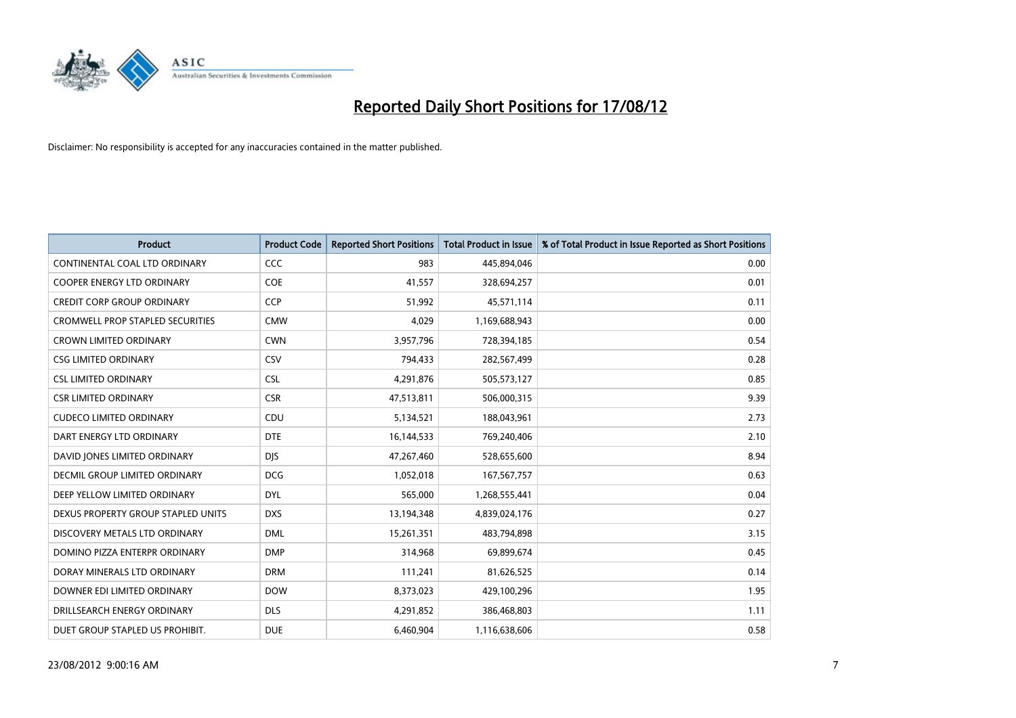

| <b>Product</b>                          | <b>Product Code</b> | <b>Reported Short Positions</b> | <b>Total Product in Issue</b> | % of Total Product in Issue Reported as Short Positions |
|-----------------------------------------|---------------------|---------------------------------|-------------------------------|---------------------------------------------------------|
| CONTINENTAL COAL LTD ORDINARY           | CCC                 | 983                             | 445,894,046                   | 0.00                                                    |
| COOPER ENERGY LTD ORDINARY              | <b>COE</b>          | 41,557                          | 328,694,257                   | 0.01                                                    |
| <b>CREDIT CORP GROUP ORDINARY</b>       | <b>CCP</b>          | 51,992                          | 45,571,114                    | 0.11                                                    |
| <b>CROMWELL PROP STAPLED SECURITIES</b> | <b>CMW</b>          | 4,029                           | 1,169,688,943                 | 0.00                                                    |
| <b>CROWN LIMITED ORDINARY</b>           | <b>CWN</b>          | 3,957,796                       | 728,394,185                   | 0.54                                                    |
| <b>CSG LIMITED ORDINARY</b>             | CSV                 | 794,433                         | 282,567,499                   | 0.28                                                    |
| <b>CSL LIMITED ORDINARY</b>             | <b>CSL</b>          | 4,291,876                       | 505,573,127                   | 0.85                                                    |
| <b>CSR LIMITED ORDINARY</b>             | <b>CSR</b>          | 47,513,811                      | 506,000,315                   | 9.39                                                    |
| <b>CUDECO LIMITED ORDINARY</b>          | CDU                 | 5,134,521                       | 188,043,961                   | 2.73                                                    |
| DART ENERGY LTD ORDINARY                | <b>DTE</b>          | 16,144,533                      | 769,240,406                   | 2.10                                                    |
| DAVID JONES LIMITED ORDINARY            | <b>DJS</b>          | 47,267,460                      | 528,655,600                   | 8.94                                                    |
| <b>DECMIL GROUP LIMITED ORDINARY</b>    | <b>DCG</b>          | 1,052,018                       | 167, 567, 757                 | 0.63                                                    |
| DEEP YELLOW LIMITED ORDINARY            | <b>DYL</b>          | 565,000                         | 1,268,555,441                 | 0.04                                                    |
| DEXUS PROPERTY GROUP STAPLED UNITS      | <b>DXS</b>          | 13,194,348                      | 4,839,024,176                 | 0.27                                                    |
| DISCOVERY METALS LTD ORDINARY           | <b>DML</b>          | 15,261,351                      | 483,794,898                   | 3.15                                                    |
| DOMINO PIZZA ENTERPR ORDINARY           | <b>DMP</b>          | 314,968                         | 69,899,674                    | 0.45                                                    |
| DORAY MINERALS LTD ORDINARY             | <b>DRM</b>          | 111,241                         | 81,626,525                    | 0.14                                                    |
| DOWNER EDI LIMITED ORDINARY             | <b>DOW</b>          | 8,373,023                       | 429,100,296                   | 1.95                                                    |
| DRILLSEARCH ENERGY ORDINARY             | <b>DLS</b>          | 4,291,852                       | 386,468,803                   | 1.11                                                    |
| DUET GROUP STAPLED US PROHIBIT.         | <b>DUE</b>          | 6,460,904                       | 1,116,638,606                 | 0.58                                                    |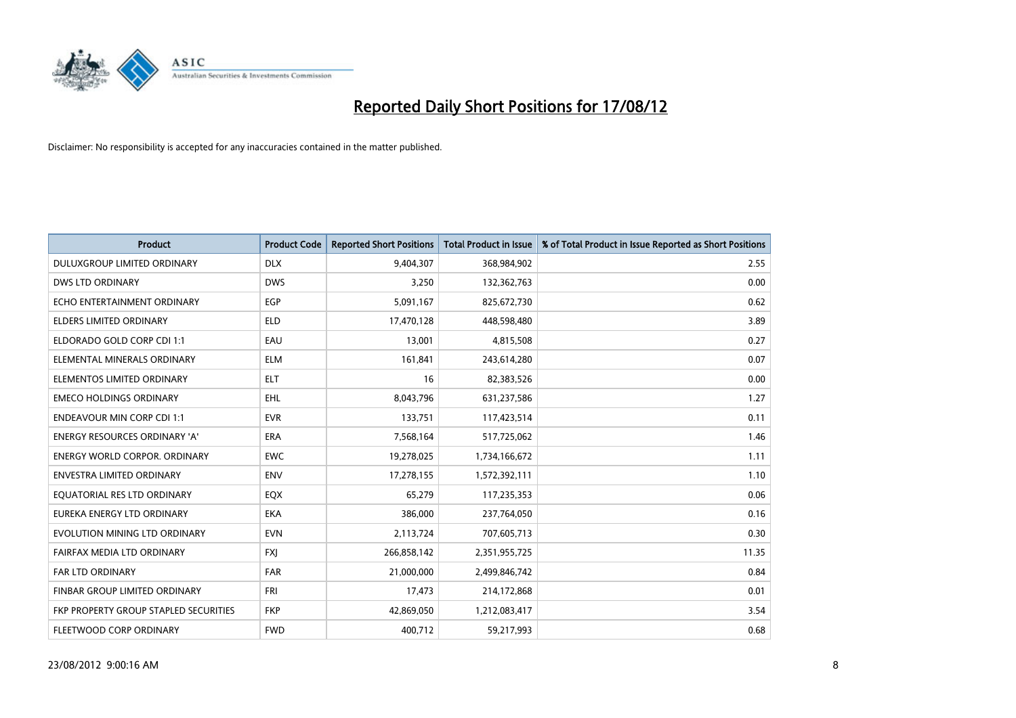

| <b>Product</b>                        | <b>Product Code</b> | <b>Reported Short Positions</b> | <b>Total Product in Issue</b> | % of Total Product in Issue Reported as Short Positions |
|---------------------------------------|---------------------|---------------------------------|-------------------------------|---------------------------------------------------------|
| DULUXGROUP LIMITED ORDINARY           | <b>DLX</b>          | 9,404,307                       | 368,984,902                   | 2.55                                                    |
| DWS LTD ORDINARY                      | <b>DWS</b>          | 3,250                           | 132,362,763                   | 0.00                                                    |
| ECHO ENTERTAINMENT ORDINARY           | EGP                 | 5,091,167                       | 825,672,730                   | 0.62                                                    |
| ELDERS LIMITED ORDINARY               | <b>ELD</b>          | 17,470,128                      | 448,598,480                   | 3.89                                                    |
| ELDORADO GOLD CORP CDI 1:1            | EAU                 | 13,001                          | 4,815,508                     | 0.27                                                    |
| ELEMENTAL MINERALS ORDINARY           | <b>ELM</b>          | 161,841                         | 243,614,280                   | 0.07                                                    |
| ELEMENTOS LIMITED ORDINARY            | <b>ELT</b>          | 16                              | 82,383,526                    | 0.00                                                    |
| <b>EMECO HOLDINGS ORDINARY</b>        | <b>EHL</b>          | 8,043,796                       | 631,237,586                   | 1.27                                                    |
| <b>ENDEAVOUR MIN CORP CDI 1:1</b>     | <b>EVR</b>          | 133,751                         | 117,423,514                   | 0.11                                                    |
| <b>ENERGY RESOURCES ORDINARY 'A'</b>  | <b>ERA</b>          | 7,568,164                       | 517,725,062                   | 1.46                                                    |
| <b>ENERGY WORLD CORPOR. ORDINARY</b>  | <b>EWC</b>          | 19,278,025                      | 1,734,166,672                 | 1.11                                                    |
| <b>ENVESTRA LIMITED ORDINARY</b>      | <b>ENV</b>          | 17,278,155                      | 1,572,392,111                 | 1.10                                                    |
| EQUATORIAL RES LTD ORDINARY           | <b>EQX</b>          | 65,279                          | 117,235,353                   | 0.06                                                    |
| EUREKA ENERGY LTD ORDINARY            | <b>EKA</b>          | 386,000                         | 237,764,050                   | 0.16                                                    |
| EVOLUTION MINING LTD ORDINARY         | <b>EVN</b>          | 2,113,724                       | 707,605,713                   | 0.30                                                    |
| FAIRFAX MEDIA LTD ORDINARY            | <b>FXI</b>          | 266,858,142                     | 2,351,955,725                 | 11.35                                                   |
| <b>FAR LTD ORDINARY</b>               | <b>FAR</b>          | 21,000,000                      | 2,499,846,742                 | 0.84                                                    |
| FINBAR GROUP LIMITED ORDINARY         | <b>FRI</b>          | 17,473                          | 214,172,868                   | 0.01                                                    |
| FKP PROPERTY GROUP STAPLED SECURITIES | <b>FKP</b>          | 42,869,050                      | 1,212,083,417                 | 3.54                                                    |
| FLEETWOOD CORP ORDINARY               | <b>FWD</b>          | 400,712                         | 59,217,993                    | 0.68                                                    |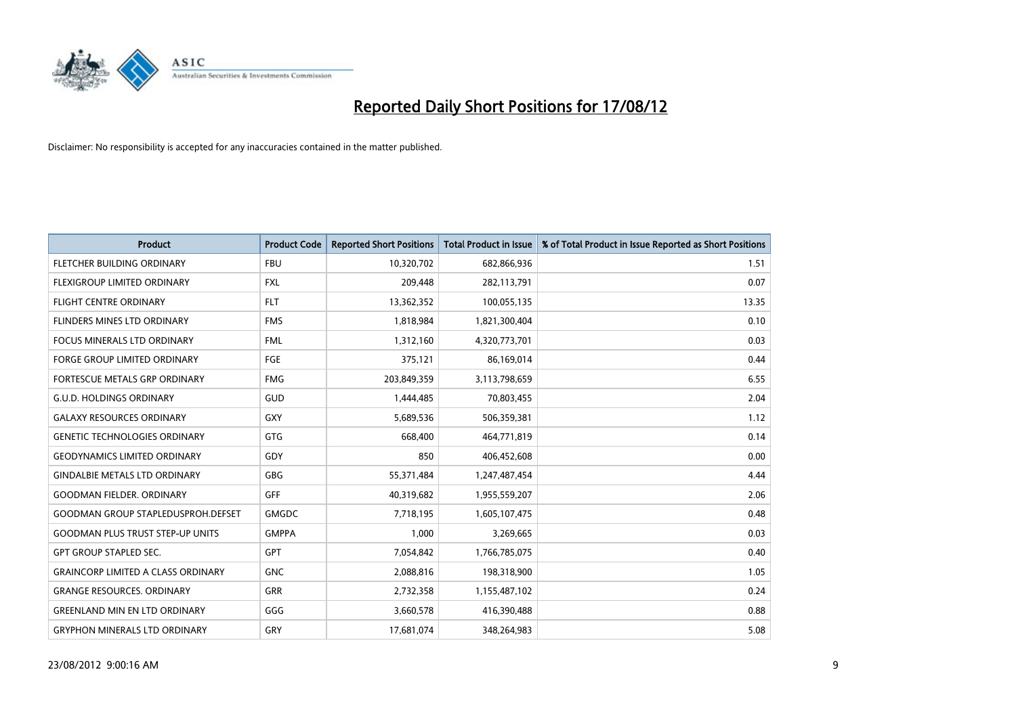

| <b>Product</b>                            | <b>Product Code</b> | <b>Reported Short Positions</b> | <b>Total Product in Issue</b> | % of Total Product in Issue Reported as Short Positions |
|-------------------------------------------|---------------------|---------------------------------|-------------------------------|---------------------------------------------------------|
| FLETCHER BUILDING ORDINARY                | <b>FBU</b>          | 10,320,702                      | 682,866,936                   | 1.51                                                    |
| <b>FLEXIGROUP LIMITED ORDINARY</b>        | <b>FXL</b>          | 209,448                         | 282,113,791                   | 0.07                                                    |
| <b>FLIGHT CENTRE ORDINARY</b>             | <b>FLT</b>          | 13,362,352                      | 100,055,135                   | 13.35                                                   |
| FLINDERS MINES LTD ORDINARY               | <b>FMS</b>          | 1,818,984                       | 1,821,300,404                 | 0.10                                                    |
| <b>FOCUS MINERALS LTD ORDINARY</b>        | <b>FML</b>          | 1,312,160                       | 4,320,773,701                 | 0.03                                                    |
| <b>FORGE GROUP LIMITED ORDINARY</b>       | FGE                 | 375,121                         | 86,169,014                    | 0.44                                                    |
| FORTESCUE METALS GRP ORDINARY             | <b>FMG</b>          | 203,849,359                     | 3,113,798,659                 | 6.55                                                    |
| <b>G.U.D. HOLDINGS ORDINARY</b>           | GUD                 | 1,444,485                       | 70,803,455                    | 2.04                                                    |
| <b>GALAXY RESOURCES ORDINARY</b>          | <b>GXY</b>          | 5,689,536                       | 506,359,381                   | 1.12                                                    |
| <b>GENETIC TECHNOLOGIES ORDINARY</b>      | <b>GTG</b>          | 668,400                         | 464,771,819                   | 0.14                                                    |
| <b>GEODYNAMICS LIMITED ORDINARY</b>       | GDY                 | 850                             | 406,452,608                   | 0.00                                                    |
| <b>GINDALBIE METALS LTD ORDINARY</b>      | <b>GBG</b>          | 55,371,484                      | 1,247,487,454                 | 4.44                                                    |
| <b>GOODMAN FIELDER. ORDINARY</b>          | GFF                 | 40,319,682                      | 1,955,559,207                 | 2.06                                                    |
| <b>GOODMAN GROUP STAPLEDUSPROH.DEFSET</b> | <b>GMGDC</b>        | 7,718,195                       | 1,605,107,475                 | 0.48                                                    |
| <b>GOODMAN PLUS TRUST STEP-UP UNITS</b>   | <b>GMPPA</b>        | 1,000                           | 3,269,665                     | 0.03                                                    |
| GPT GROUP STAPLED SEC.                    | <b>GPT</b>          | 7,054,842                       | 1,766,785,075                 | 0.40                                                    |
| <b>GRAINCORP LIMITED A CLASS ORDINARY</b> | <b>GNC</b>          | 2,088,816                       | 198,318,900                   | 1.05                                                    |
| <b>GRANGE RESOURCES. ORDINARY</b>         | <b>GRR</b>          | 2,732,358                       | 1,155,487,102                 | 0.24                                                    |
| <b>GREENLAND MIN EN LTD ORDINARY</b>      | GGG                 | 3,660,578                       | 416,390,488                   | 0.88                                                    |
| <b>GRYPHON MINERALS LTD ORDINARY</b>      | GRY                 | 17,681,074                      | 348,264,983                   | 5.08                                                    |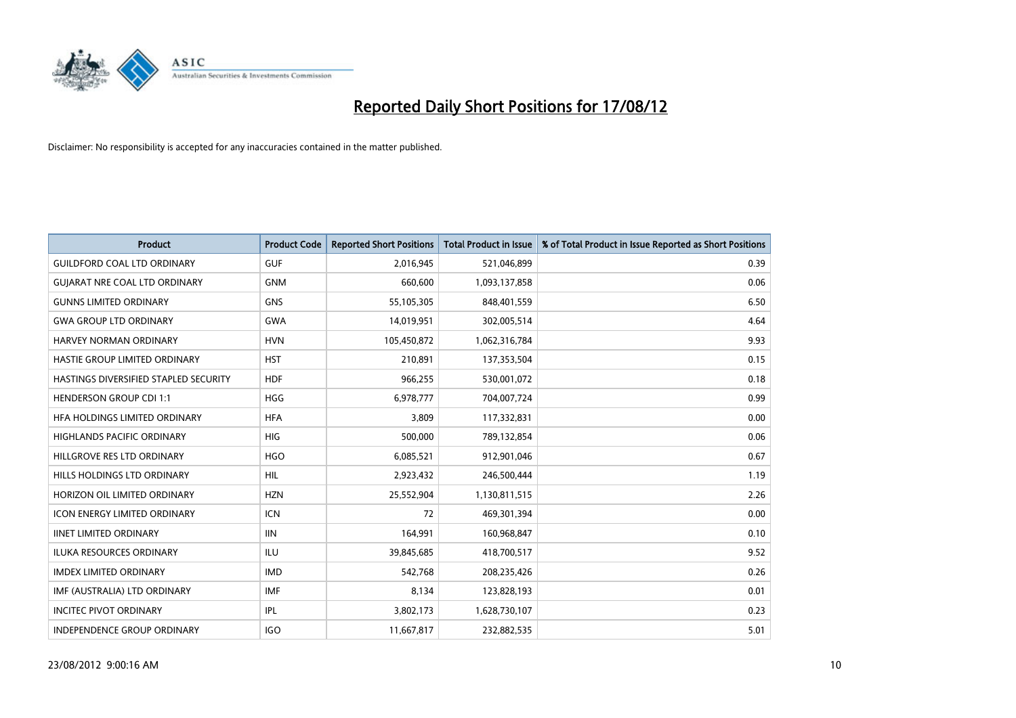

| <b>Product</b>                               | <b>Product Code</b> | <b>Reported Short Positions</b> | <b>Total Product in Issue</b> | % of Total Product in Issue Reported as Short Positions |
|----------------------------------------------|---------------------|---------------------------------|-------------------------------|---------------------------------------------------------|
| <b>GUILDFORD COAL LTD ORDINARY</b>           | <b>GUF</b>          | 2,016,945                       | 521,046,899                   | 0.39                                                    |
| <b>GUIARAT NRE COAL LTD ORDINARY</b>         | <b>GNM</b>          | 660,600                         | 1,093,137,858                 | 0.06                                                    |
| <b>GUNNS LIMITED ORDINARY</b>                | <b>GNS</b>          | 55,105,305                      | 848,401,559                   | 6.50                                                    |
| <b>GWA GROUP LTD ORDINARY</b>                | <b>GWA</b>          | 14,019,951                      | 302,005,514                   | 4.64                                                    |
| HARVEY NORMAN ORDINARY                       | <b>HVN</b>          | 105,450,872                     | 1,062,316,784                 | 9.93                                                    |
| HASTIE GROUP LIMITED ORDINARY                | <b>HST</b>          | 210,891                         | 137,353,504                   | 0.15                                                    |
| <b>HASTINGS DIVERSIFIED STAPLED SECURITY</b> | <b>HDF</b>          | 966,255                         | 530,001,072                   | 0.18                                                    |
| <b>HENDERSON GROUP CDI 1:1</b>               | <b>HGG</b>          | 6,978,777                       | 704,007,724                   | 0.99                                                    |
| HFA HOLDINGS LIMITED ORDINARY                | <b>HFA</b>          | 3,809                           | 117,332,831                   | 0.00                                                    |
| <b>HIGHLANDS PACIFIC ORDINARY</b>            | <b>HIG</b>          | 500,000                         | 789,132,854                   | 0.06                                                    |
| HILLGROVE RES LTD ORDINARY                   | <b>HGO</b>          | 6,085,521                       | 912,901,046                   | 0.67                                                    |
| HILLS HOLDINGS LTD ORDINARY                  | <b>HIL</b>          | 2,923,432                       | 246,500,444                   | 1.19                                                    |
| HORIZON OIL LIMITED ORDINARY                 | <b>HZN</b>          | 25,552,904                      | 1,130,811,515                 | 2.26                                                    |
| <b>ICON ENERGY LIMITED ORDINARY</b>          | <b>ICN</b>          | 72                              | 469,301,394                   | 0.00                                                    |
| <b>IINET LIMITED ORDINARY</b>                | <b>IIN</b>          | 164,991                         | 160,968,847                   | 0.10                                                    |
| ILUKA RESOURCES ORDINARY                     | ILU                 | 39,845,685                      | 418,700,517                   | 9.52                                                    |
| <b>IMDEX LIMITED ORDINARY</b>                | <b>IMD</b>          | 542,768                         | 208,235,426                   | 0.26                                                    |
| IMF (AUSTRALIA) LTD ORDINARY                 | <b>IMF</b>          | 8,134                           | 123,828,193                   | 0.01                                                    |
| <b>INCITEC PIVOT ORDINARY</b>                | <b>IPL</b>          | 3,802,173                       | 1,628,730,107                 | 0.23                                                    |
| INDEPENDENCE GROUP ORDINARY                  | <b>IGO</b>          | 11,667,817                      | 232,882,535                   | 5.01                                                    |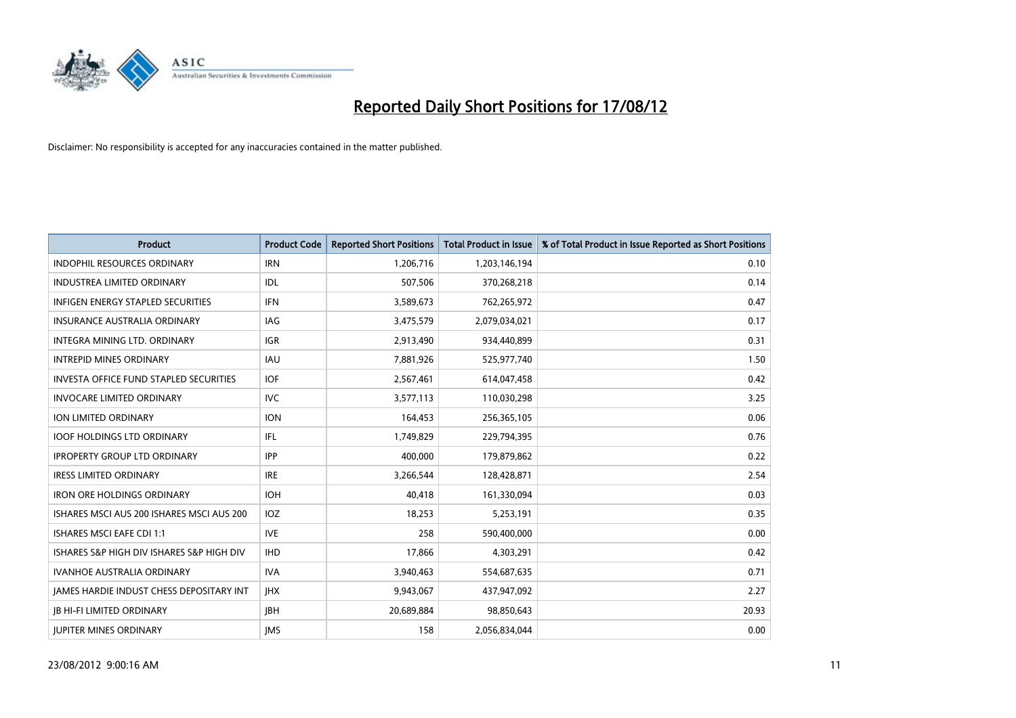

| <b>Product</b>                                | <b>Product Code</b> | <b>Reported Short Positions</b> | <b>Total Product in Issue</b> | % of Total Product in Issue Reported as Short Positions |
|-----------------------------------------------|---------------------|---------------------------------|-------------------------------|---------------------------------------------------------|
| <b>INDOPHIL RESOURCES ORDINARY</b>            | <b>IRN</b>          | 1,206,716                       | 1,203,146,194                 | 0.10                                                    |
| INDUSTREA LIMITED ORDINARY                    | <b>IDL</b>          | 507,506                         | 370,268,218                   | 0.14                                                    |
| <b>INFIGEN ENERGY STAPLED SECURITIES</b>      | <b>IFN</b>          | 3,589,673                       | 762,265,972                   | 0.47                                                    |
| <b>INSURANCE AUSTRALIA ORDINARY</b>           | IAG                 | 3,475,579                       | 2,079,034,021                 | 0.17                                                    |
| <b>INTEGRA MINING LTD, ORDINARY</b>           | <b>IGR</b>          | 2,913,490                       | 934,440,899                   | 0.31                                                    |
| <b>INTREPID MINES ORDINARY</b>                | <b>IAU</b>          | 7,881,926                       | 525,977,740                   | 1.50                                                    |
| <b>INVESTA OFFICE FUND STAPLED SECURITIES</b> | <b>IOF</b>          | 2,567,461                       | 614,047,458                   | 0.42                                                    |
| <b>INVOCARE LIMITED ORDINARY</b>              | <b>IVC</b>          | 3,577,113                       | 110,030,298                   | 3.25                                                    |
| ION LIMITED ORDINARY                          | <b>ION</b>          | 164,453                         | 256,365,105                   | 0.06                                                    |
| <b>IOOF HOLDINGS LTD ORDINARY</b>             | IFL                 | 1,749,829                       | 229,794,395                   | 0.76                                                    |
| <b>IPROPERTY GROUP LTD ORDINARY</b>           | <b>IPP</b>          | 400,000                         | 179,879,862                   | 0.22                                                    |
| <b>IRESS LIMITED ORDINARY</b>                 | <b>IRE</b>          | 3,266,544                       | 128,428,871                   | 2.54                                                    |
| <b>IRON ORE HOLDINGS ORDINARY</b>             | <b>IOH</b>          | 40,418                          | 161,330,094                   | 0.03                                                    |
| ISHARES MSCI AUS 200 ISHARES MSCI AUS 200     | IOZ                 | 18,253                          | 5,253,191                     | 0.35                                                    |
| <b>ISHARES MSCI EAFE CDI 1:1</b>              | <b>IVE</b>          | 258                             | 590,400,000                   | 0.00                                                    |
| ISHARES S&P HIGH DIV ISHARES S&P HIGH DIV     | <b>IHD</b>          | 17,866                          | 4,303,291                     | 0.42                                                    |
| <b>IVANHOE AUSTRALIA ORDINARY</b>             | <b>IVA</b>          | 3,940,463                       | 554,687,635                   | 0.71                                                    |
| JAMES HARDIE INDUST CHESS DEPOSITARY INT      | <b>IHX</b>          | 9,943,067                       | 437,947,092                   | 2.27                                                    |
| <b>JB HI-FI LIMITED ORDINARY</b>              | <b>IBH</b>          | 20,689,884                      | 98,850,643                    | 20.93                                                   |
| <b>JUPITER MINES ORDINARY</b>                 | <b>IMS</b>          | 158                             | 2,056,834,044                 | 0.00                                                    |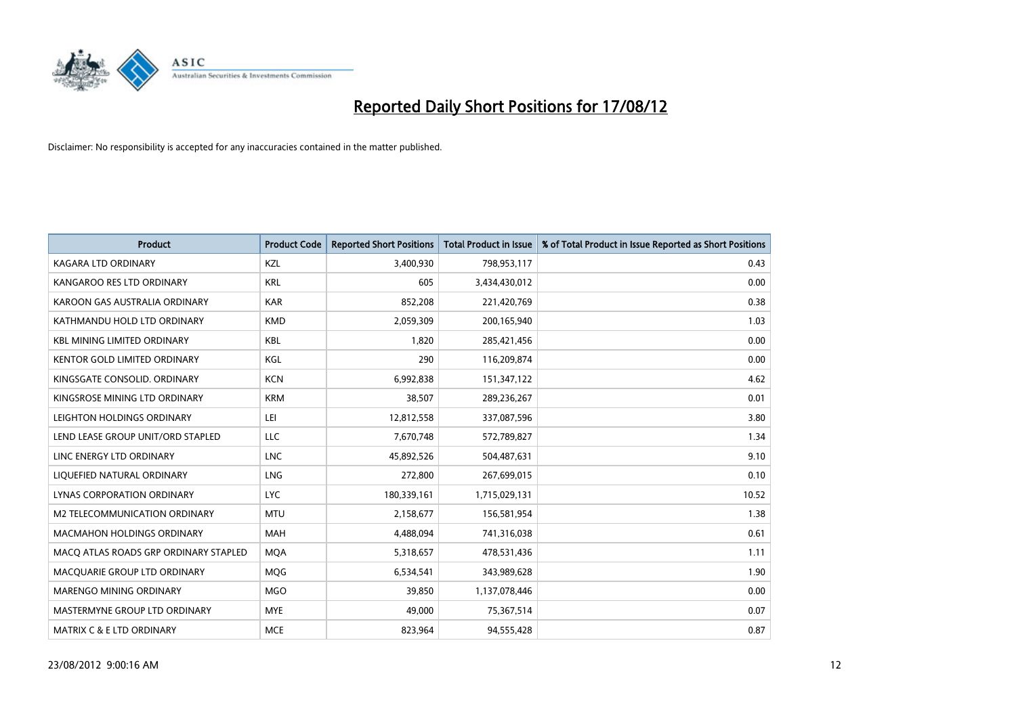

| <b>Product</b>                        | <b>Product Code</b> | <b>Reported Short Positions</b> | <b>Total Product in Issue</b> | % of Total Product in Issue Reported as Short Positions |
|---------------------------------------|---------------------|---------------------------------|-------------------------------|---------------------------------------------------------|
| <b>KAGARA LTD ORDINARY</b>            | <b>KZL</b>          | 3,400,930                       | 798,953,117                   | 0.43                                                    |
| KANGAROO RES LTD ORDINARY             | <b>KRL</b>          | 605                             | 3,434,430,012                 | 0.00                                                    |
| KAROON GAS AUSTRALIA ORDINARY         | <b>KAR</b>          | 852,208                         | 221,420,769                   | 0.38                                                    |
| KATHMANDU HOLD LTD ORDINARY           | <b>KMD</b>          | 2,059,309                       | 200,165,940                   | 1.03                                                    |
| <b>KBL MINING LIMITED ORDINARY</b>    | <b>KBL</b>          | 1,820                           | 285,421,456                   | 0.00                                                    |
| <b>KENTOR GOLD LIMITED ORDINARY</b>   | KGL                 | 290                             | 116,209,874                   | 0.00                                                    |
| KINGSGATE CONSOLID. ORDINARY          | <b>KCN</b>          | 6,992,838                       | 151,347,122                   | 4.62                                                    |
| KINGSROSE MINING LTD ORDINARY         | <b>KRM</b>          | 38,507                          | 289,236,267                   | 0.01                                                    |
| LEIGHTON HOLDINGS ORDINARY            | LEI                 | 12,812,558                      | 337,087,596                   | 3.80                                                    |
| LEND LEASE GROUP UNIT/ORD STAPLED     | LLC                 | 7,670,748                       | 572,789,827                   | 1.34                                                    |
| LINC ENERGY LTD ORDINARY              | <b>LNC</b>          | 45,892,526                      | 504,487,631                   | 9.10                                                    |
| LIQUEFIED NATURAL ORDINARY            | <b>LNG</b>          | 272,800                         | 267,699,015                   | 0.10                                                    |
| LYNAS CORPORATION ORDINARY            | <b>LYC</b>          | 180,339,161                     | 1,715,029,131                 | 10.52                                                   |
| M2 TELECOMMUNICATION ORDINARY         | <b>MTU</b>          | 2,158,677                       | 156,581,954                   | 1.38                                                    |
| <b>MACMAHON HOLDINGS ORDINARY</b>     | <b>MAH</b>          | 4,488,094                       | 741,316,038                   | 0.61                                                    |
| MACQ ATLAS ROADS GRP ORDINARY STAPLED | <b>MOA</b>          | 5,318,657                       | 478,531,436                   | 1.11                                                    |
| MACQUARIE GROUP LTD ORDINARY          | <b>MOG</b>          | 6,534,541                       | 343,989,628                   | 1.90                                                    |
| <b>MARENGO MINING ORDINARY</b>        | <b>MGO</b>          | 39,850                          | 1,137,078,446                 | 0.00                                                    |
| MASTERMYNE GROUP LTD ORDINARY         | <b>MYE</b>          | 49,000                          | 75,367,514                    | 0.07                                                    |
| MATRIX C & E LTD ORDINARY             | <b>MCE</b>          | 823,964                         | 94,555,428                    | 0.87                                                    |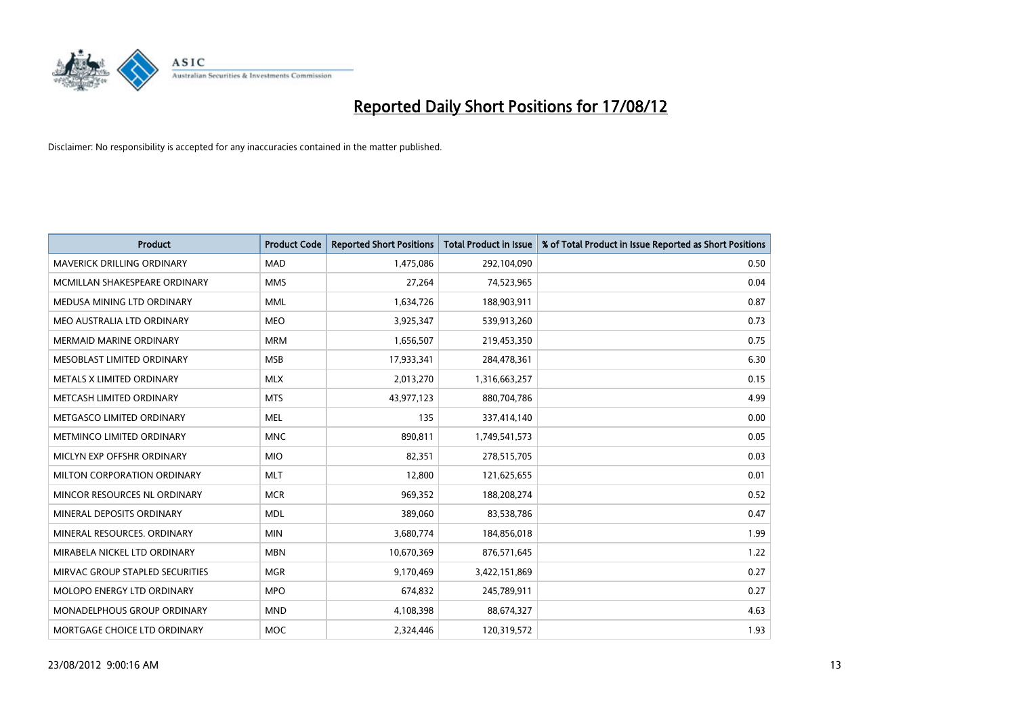

| <b>Product</b>                     | <b>Product Code</b> | <b>Reported Short Positions</b> | <b>Total Product in Issue</b> | % of Total Product in Issue Reported as Short Positions |
|------------------------------------|---------------------|---------------------------------|-------------------------------|---------------------------------------------------------|
| <b>MAVERICK DRILLING ORDINARY</b>  | <b>MAD</b>          | 1,475,086                       | 292,104,090                   | 0.50                                                    |
| MCMILLAN SHAKESPEARE ORDINARY      | <b>MMS</b>          | 27,264                          | 74,523,965                    | 0.04                                                    |
| MEDUSA MINING LTD ORDINARY         | <b>MML</b>          | 1,634,726                       | 188,903,911                   | 0.87                                                    |
| MEO AUSTRALIA LTD ORDINARY         | <b>MEO</b>          | 3,925,347                       | 539,913,260                   | 0.73                                                    |
| <b>MERMAID MARINE ORDINARY</b>     | <b>MRM</b>          | 1,656,507                       | 219,453,350                   | 0.75                                                    |
| MESOBLAST LIMITED ORDINARY         | <b>MSB</b>          | 17,933,341                      | 284,478,361                   | 6.30                                                    |
| METALS X LIMITED ORDINARY          | <b>MLX</b>          | 2,013,270                       | 1,316,663,257                 | 0.15                                                    |
| METCASH LIMITED ORDINARY           | <b>MTS</b>          | 43,977,123                      | 880,704,786                   | 4.99                                                    |
| METGASCO LIMITED ORDINARY          | <b>MEL</b>          | 135                             | 337,414,140                   | 0.00                                                    |
| METMINCO LIMITED ORDINARY          | <b>MNC</b>          | 890,811                         | 1,749,541,573                 | 0.05                                                    |
| MICLYN EXP OFFSHR ORDINARY         | <b>MIO</b>          | 82,351                          | 278,515,705                   | 0.03                                                    |
| <b>MILTON CORPORATION ORDINARY</b> | <b>MLT</b>          | 12,800                          | 121,625,655                   | 0.01                                                    |
| MINCOR RESOURCES NL ORDINARY       | <b>MCR</b>          | 969,352                         | 188,208,274                   | 0.52                                                    |
| MINERAL DEPOSITS ORDINARY          | <b>MDL</b>          | 389,060                         | 83,538,786                    | 0.47                                                    |
| MINERAL RESOURCES, ORDINARY        | <b>MIN</b>          | 3,680,774                       | 184,856,018                   | 1.99                                                    |
| MIRABELA NICKEL LTD ORDINARY       | <b>MBN</b>          | 10,670,369                      | 876,571,645                   | 1.22                                                    |
| MIRVAC GROUP STAPLED SECURITIES    | <b>MGR</b>          | 9,170,469                       | 3,422,151,869                 | 0.27                                                    |
| MOLOPO ENERGY LTD ORDINARY         | <b>MPO</b>          | 674,832                         | 245,789,911                   | 0.27                                                    |
| <b>MONADELPHOUS GROUP ORDINARY</b> | <b>MND</b>          | 4,108,398                       | 88,674,327                    | 4.63                                                    |
| MORTGAGE CHOICE LTD ORDINARY       | <b>MOC</b>          | 2.324.446                       | 120,319,572                   | 1.93                                                    |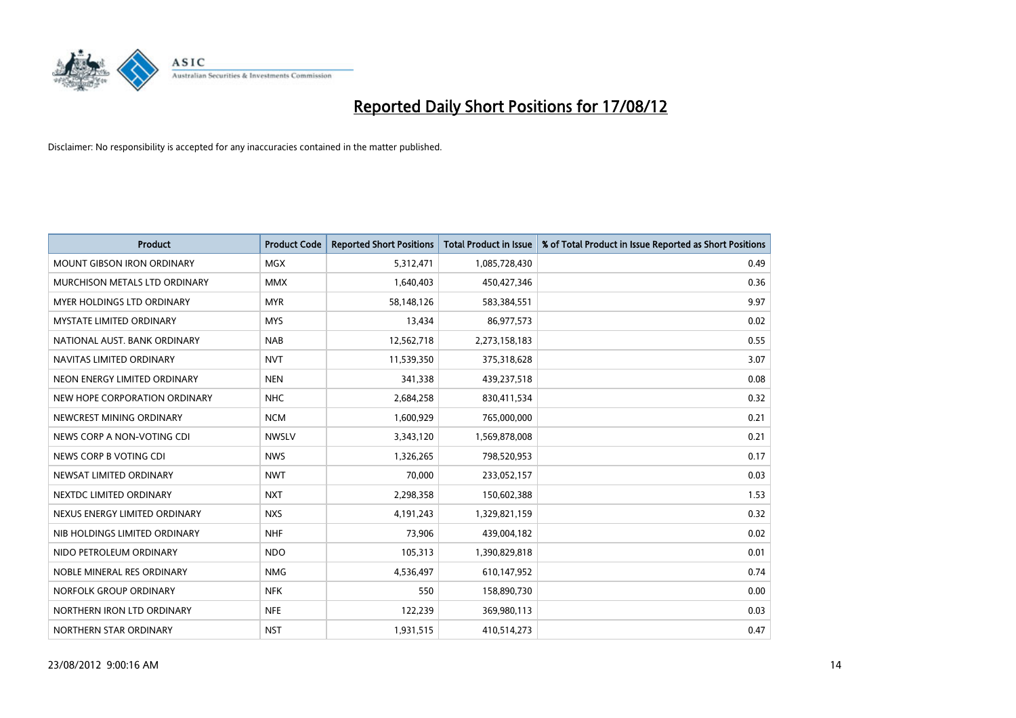

| <b>Product</b>                    | <b>Product Code</b> | <b>Reported Short Positions</b> | <b>Total Product in Issue</b> | % of Total Product in Issue Reported as Short Positions |
|-----------------------------------|---------------------|---------------------------------|-------------------------------|---------------------------------------------------------|
| <b>MOUNT GIBSON IRON ORDINARY</b> | <b>MGX</b>          | 5,312,471                       | 1,085,728,430                 | 0.49                                                    |
| MURCHISON METALS LTD ORDINARY     | <b>MMX</b>          | 1,640,403                       | 450,427,346                   | 0.36                                                    |
| <b>MYER HOLDINGS LTD ORDINARY</b> | <b>MYR</b>          | 58,148,126                      | 583,384,551                   | 9.97                                                    |
| MYSTATE LIMITED ORDINARY          | <b>MYS</b>          | 13,434                          | 86,977,573                    | 0.02                                                    |
| NATIONAL AUST, BANK ORDINARY      | <b>NAB</b>          | 12,562,718                      | 2,273,158,183                 | 0.55                                                    |
| NAVITAS LIMITED ORDINARY          | <b>NVT</b>          | 11,539,350                      | 375,318,628                   | 3.07                                                    |
| NEON ENERGY LIMITED ORDINARY      | <b>NEN</b>          | 341,338                         | 439,237,518                   | 0.08                                                    |
| NEW HOPE CORPORATION ORDINARY     | <b>NHC</b>          | 2,684,258                       | 830,411,534                   | 0.32                                                    |
| NEWCREST MINING ORDINARY          | <b>NCM</b>          | 1,600,929                       | 765,000,000                   | 0.21                                                    |
| NEWS CORP A NON-VOTING CDI        | <b>NWSLV</b>        | 3,343,120                       | 1,569,878,008                 | 0.21                                                    |
| NEWS CORP B VOTING CDI            | <b>NWS</b>          | 1,326,265                       | 798,520,953                   | 0.17                                                    |
| NEWSAT LIMITED ORDINARY           | <b>NWT</b>          | 70,000                          | 233,052,157                   | 0.03                                                    |
| NEXTDC LIMITED ORDINARY           | <b>NXT</b>          | 2,298,358                       | 150,602,388                   | 1.53                                                    |
| NEXUS ENERGY LIMITED ORDINARY     | <b>NXS</b>          | 4,191,243                       | 1,329,821,159                 | 0.32                                                    |
| NIB HOLDINGS LIMITED ORDINARY     | <b>NHF</b>          | 73,906                          | 439,004,182                   | 0.02                                                    |
| NIDO PETROLEUM ORDINARY           | <b>NDO</b>          | 105,313                         | 1,390,829,818                 | 0.01                                                    |
| NOBLE MINERAL RES ORDINARY        | <b>NMG</b>          | 4,536,497                       | 610,147,952                   | 0.74                                                    |
| NORFOLK GROUP ORDINARY            | <b>NFK</b>          | 550                             | 158,890,730                   | 0.00                                                    |
| NORTHERN IRON LTD ORDINARY        | <b>NFE</b>          | 122,239                         | 369,980,113                   | 0.03                                                    |
| NORTHERN STAR ORDINARY            | <b>NST</b>          | 1,931,515                       | 410,514,273                   | 0.47                                                    |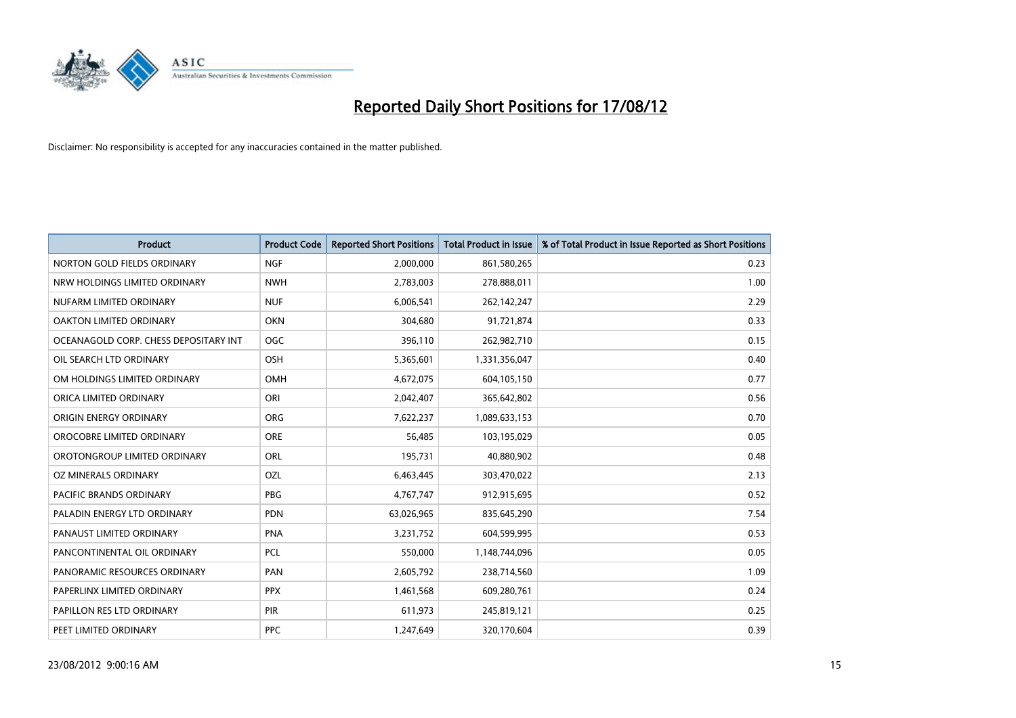

| <b>Product</b>                        | <b>Product Code</b> | <b>Reported Short Positions</b> | <b>Total Product in Issue</b> | % of Total Product in Issue Reported as Short Positions |
|---------------------------------------|---------------------|---------------------------------|-------------------------------|---------------------------------------------------------|
| NORTON GOLD FIELDS ORDINARY           | <b>NGF</b>          | 2,000,000                       | 861,580,265                   | 0.23                                                    |
| NRW HOLDINGS LIMITED ORDINARY         | <b>NWH</b>          | 2,783,003                       | 278,888,011                   | 1.00                                                    |
| NUFARM LIMITED ORDINARY               | <b>NUF</b>          | 6,006,541                       | 262,142,247                   | 2.29                                                    |
| OAKTON LIMITED ORDINARY               | <b>OKN</b>          | 304,680                         | 91,721,874                    | 0.33                                                    |
| OCEANAGOLD CORP. CHESS DEPOSITARY INT | <b>OGC</b>          | 396,110                         | 262,982,710                   | 0.15                                                    |
| OIL SEARCH LTD ORDINARY               | <b>OSH</b>          | 5,365,601                       | 1,331,356,047                 | 0.40                                                    |
| OM HOLDINGS LIMITED ORDINARY          | <b>OMH</b>          | 4,672,075                       | 604,105,150                   | 0.77                                                    |
| ORICA LIMITED ORDINARY                | ORI                 | 2,042,407                       | 365,642,802                   | 0.56                                                    |
| ORIGIN ENERGY ORDINARY                | <b>ORG</b>          | 7,622,237                       | 1,089,633,153                 | 0.70                                                    |
| OROCOBRE LIMITED ORDINARY             | <b>ORE</b>          | 56,485                          | 103,195,029                   | 0.05                                                    |
| OROTONGROUP LIMITED ORDINARY          | ORL                 | 195,731                         | 40,880,902                    | 0.48                                                    |
| OZ MINERALS ORDINARY                  | OZL                 | 6,463,445                       | 303,470,022                   | 2.13                                                    |
| PACIFIC BRANDS ORDINARY               | <b>PBG</b>          | 4,767,747                       | 912,915,695                   | 0.52                                                    |
| PALADIN ENERGY LTD ORDINARY           | <b>PDN</b>          | 63,026,965                      | 835,645,290                   | 7.54                                                    |
| PANAUST LIMITED ORDINARY              | <b>PNA</b>          | 3,231,752                       | 604,599,995                   | 0.53                                                    |
| PANCONTINENTAL OIL ORDINARY           | PCL                 | 550,000                         | 1,148,744,096                 | 0.05                                                    |
| PANORAMIC RESOURCES ORDINARY          | PAN                 | 2,605,792                       | 238,714,560                   | 1.09                                                    |
| PAPERLINX LIMITED ORDINARY            | <b>PPX</b>          | 1,461,568                       | 609,280,761                   | 0.24                                                    |
| PAPILLON RES LTD ORDINARY             | <b>PIR</b>          | 611,973                         | 245,819,121                   | 0.25                                                    |
| PEET LIMITED ORDINARY                 | <b>PPC</b>          | 1,247,649                       | 320,170,604                   | 0.39                                                    |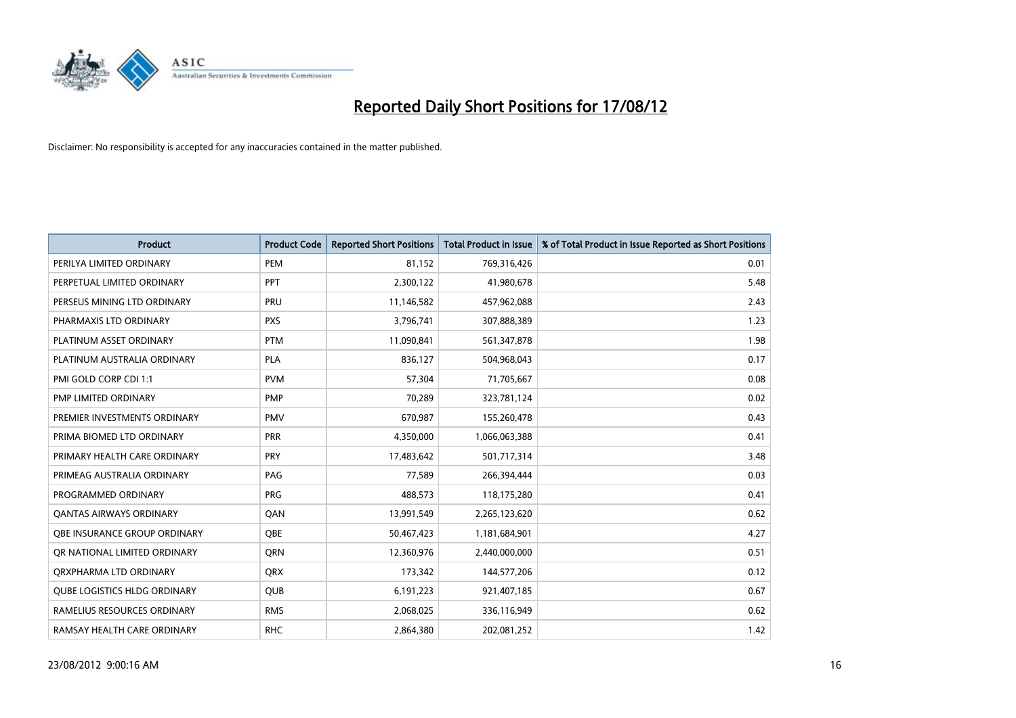

| <b>Product</b>                 | <b>Product Code</b> | <b>Reported Short Positions</b> | <b>Total Product in Issue</b> | % of Total Product in Issue Reported as Short Positions |
|--------------------------------|---------------------|---------------------------------|-------------------------------|---------------------------------------------------------|
| PERILYA LIMITED ORDINARY       | PEM                 | 81,152                          | 769,316,426                   | 0.01                                                    |
| PERPETUAL LIMITED ORDINARY     | PPT                 | 2,300,122                       | 41,980,678                    | 5.48                                                    |
| PERSEUS MINING LTD ORDINARY    | PRU                 | 11,146,582                      | 457,962,088                   | 2.43                                                    |
| PHARMAXIS LTD ORDINARY         | <b>PXS</b>          | 3,796,741                       | 307,888,389                   | 1.23                                                    |
| PLATINUM ASSET ORDINARY        | <b>PTM</b>          | 11,090,841                      | 561,347,878                   | 1.98                                                    |
| PLATINUM AUSTRALIA ORDINARY    | PLA                 | 836,127                         | 504,968,043                   | 0.17                                                    |
| PMI GOLD CORP CDI 1:1          | <b>PVM</b>          | 57,304                          | 71,705,667                    | 0.08                                                    |
| PMP LIMITED ORDINARY           | <b>PMP</b>          | 70,289                          | 323,781,124                   | 0.02                                                    |
| PREMIER INVESTMENTS ORDINARY   | <b>PMV</b>          | 670,987                         | 155,260,478                   | 0.43                                                    |
| PRIMA BIOMED LTD ORDINARY      | <b>PRR</b>          | 4,350,000                       | 1,066,063,388                 | 0.41                                                    |
| PRIMARY HEALTH CARE ORDINARY   | <b>PRY</b>          | 17,483,642                      | 501,717,314                   | 3.48                                                    |
| PRIMEAG AUSTRALIA ORDINARY     | PAG                 | 77,589                          | 266,394,444                   | 0.03                                                    |
| PROGRAMMED ORDINARY            | <b>PRG</b>          | 488,573                         | 118,175,280                   | 0.41                                                    |
| <b>QANTAS AIRWAYS ORDINARY</b> | QAN                 | 13,991,549                      | 2,265,123,620                 | 0.62                                                    |
| OBE INSURANCE GROUP ORDINARY   | <b>OBE</b>          | 50,467,423                      | 1,181,684,901                 | 4.27                                                    |
| OR NATIONAL LIMITED ORDINARY   | <b>ORN</b>          | 12,360,976                      | 2,440,000,000                 | 0.51                                                    |
| ORXPHARMA LTD ORDINARY         | <b>QRX</b>          | 173,342                         | 144,577,206                   | 0.12                                                    |
| QUBE LOGISTICS HLDG ORDINARY   | QUB                 | 6,191,223                       | 921,407,185                   | 0.67                                                    |
| RAMELIUS RESOURCES ORDINARY    | <b>RMS</b>          | 2,068,025                       | 336,116,949                   | 0.62                                                    |
| RAMSAY HEALTH CARE ORDINARY    | <b>RHC</b>          | 2,864,380                       | 202,081,252                   | 1.42                                                    |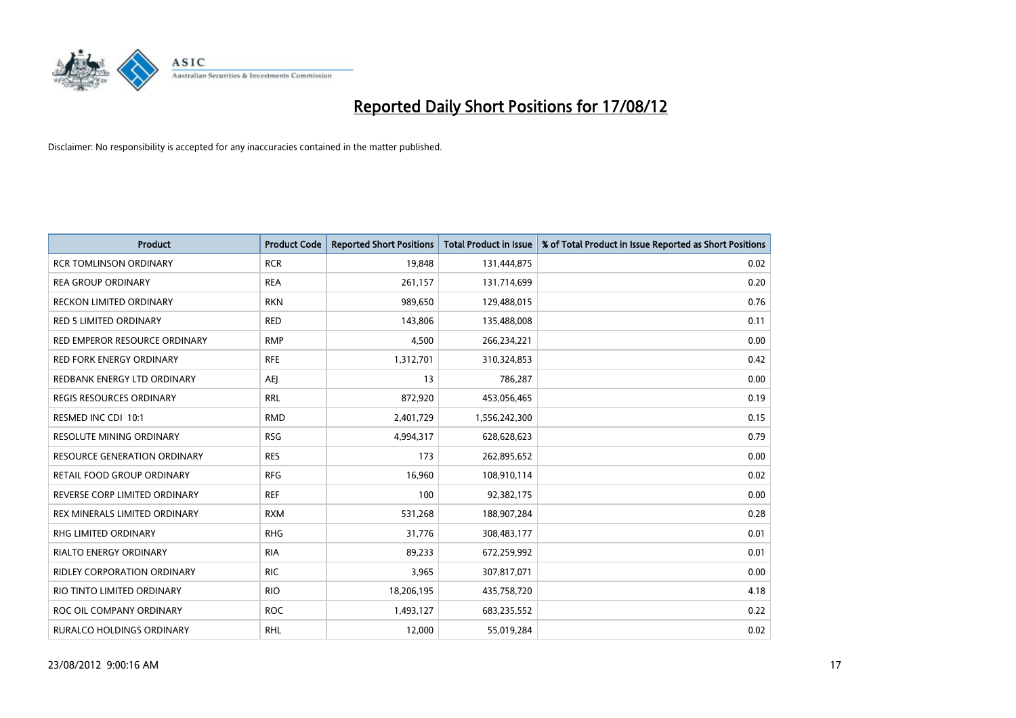

| <b>Product</b>                  | <b>Product Code</b> | <b>Reported Short Positions</b> | <b>Total Product in Issue</b> | % of Total Product in Issue Reported as Short Positions |
|---------------------------------|---------------------|---------------------------------|-------------------------------|---------------------------------------------------------|
| <b>RCR TOMLINSON ORDINARY</b>   | <b>RCR</b>          | 19,848                          | 131,444,875                   | 0.02                                                    |
| <b>REA GROUP ORDINARY</b>       | <b>REA</b>          | 261,157                         | 131,714,699                   | 0.20                                                    |
| <b>RECKON LIMITED ORDINARY</b>  | <b>RKN</b>          | 989,650                         | 129,488,015                   | 0.76                                                    |
| RED 5 LIMITED ORDINARY          | <b>RED</b>          | 143,806                         | 135,488,008                   | 0.11                                                    |
| RED EMPEROR RESOURCE ORDINARY   | <b>RMP</b>          | 4,500                           | 266,234,221                   | 0.00                                                    |
| <b>RED FORK ENERGY ORDINARY</b> | <b>RFE</b>          | 1,312,701                       | 310,324,853                   | 0.42                                                    |
| REDBANK ENERGY LTD ORDINARY     | AEJ                 | 13                              | 786,287                       | 0.00                                                    |
| REGIS RESOURCES ORDINARY        | <b>RRL</b>          | 872,920                         | 453,056,465                   | 0.19                                                    |
| RESMED INC CDI 10:1             | <b>RMD</b>          | 2,401,729                       | 1,556,242,300                 | 0.15                                                    |
| <b>RESOLUTE MINING ORDINARY</b> | <b>RSG</b>          | 4,994,317                       | 628,628,623                   | 0.79                                                    |
| RESOURCE GENERATION ORDINARY    | <b>RES</b>          | 173                             | 262,895,652                   | 0.00                                                    |
| RETAIL FOOD GROUP ORDINARY      | <b>RFG</b>          | 16,960                          | 108,910,114                   | 0.02                                                    |
| REVERSE CORP LIMITED ORDINARY   | <b>REF</b>          | 100                             | 92,382,175                    | 0.00                                                    |
| REX MINERALS LIMITED ORDINARY   | <b>RXM</b>          | 531,268                         | 188,907,284                   | 0.28                                                    |
| <b>RHG LIMITED ORDINARY</b>     | <b>RHG</b>          | 31,776                          | 308,483,177                   | 0.01                                                    |
| RIALTO ENERGY ORDINARY          | <b>RIA</b>          | 89,233                          | 672,259,992                   | 0.01                                                    |
| RIDLEY CORPORATION ORDINARY     | <b>RIC</b>          | 3,965                           | 307,817,071                   | 0.00                                                    |
| RIO TINTO LIMITED ORDINARY      | <b>RIO</b>          | 18,206,195                      | 435,758,720                   | 4.18                                                    |
| ROC OIL COMPANY ORDINARY        | <b>ROC</b>          | 1,493,127                       | 683,235,552                   | 0.22                                                    |
| RURALCO HOLDINGS ORDINARY       | <b>RHL</b>          | 12,000                          | 55,019,284                    | 0.02                                                    |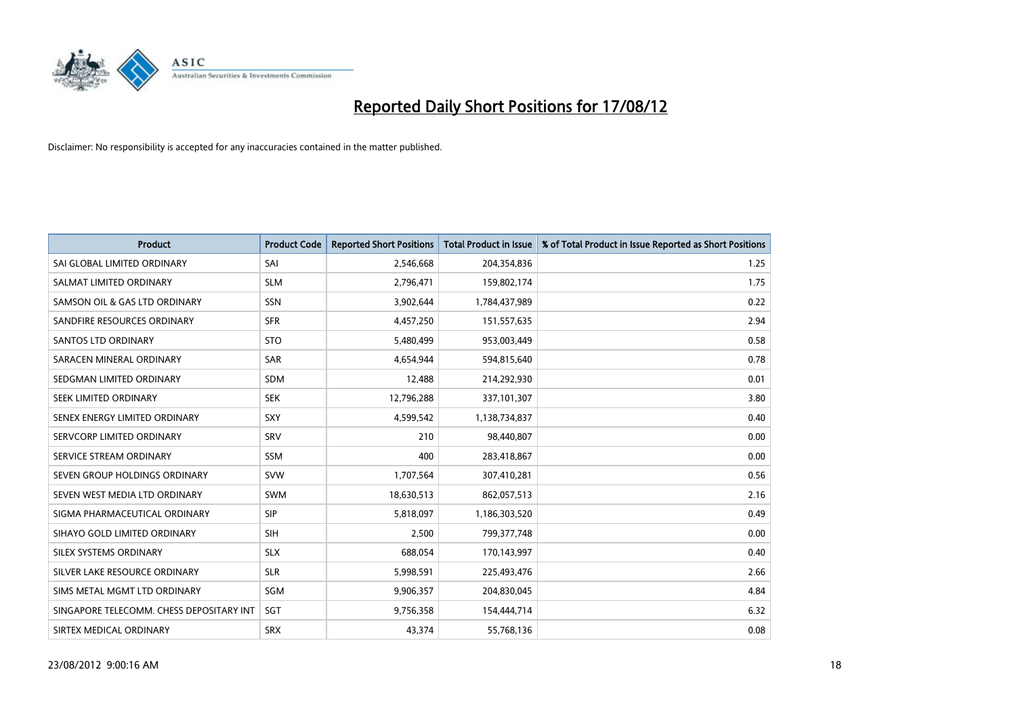

| <b>Product</b>                           | <b>Product Code</b> | <b>Reported Short Positions</b> | <b>Total Product in Issue</b> | % of Total Product in Issue Reported as Short Positions |
|------------------------------------------|---------------------|---------------------------------|-------------------------------|---------------------------------------------------------|
| SAI GLOBAL LIMITED ORDINARY              | SAI                 | 2,546,668                       | 204,354,836                   | 1.25                                                    |
| SALMAT LIMITED ORDINARY                  | <b>SLM</b>          | 2,796,471                       | 159,802,174                   | 1.75                                                    |
| SAMSON OIL & GAS LTD ORDINARY            | <b>SSN</b>          | 3,902,644                       | 1,784,437,989                 | 0.22                                                    |
| SANDFIRE RESOURCES ORDINARY              | <b>SFR</b>          | 4,457,250                       | 151,557,635                   | 2.94                                                    |
| <b>SANTOS LTD ORDINARY</b>               | <b>STO</b>          | 5,480,499                       | 953,003,449                   | 0.58                                                    |
| SARACEN MINERAL ORDINARY                 | SAR                 | 4,654,944                       | 594,815,640                   | 0.78                                                    |
| SEDGMAN LIMITED ORDINARY                 | <b>SDM</b>          | 12,488                          | 214,292,930                   | 0.01                                                    |
| SEEK LIMITED ORDINARY                    | <b>SEK</b>          | 12,796,288                      | 337,101,307                   | 3.80                                                    |
| SENEX ENERGY LIMITED ORDINARY            | SXY                 | 4,599,542                       | 1,138,734,837                 | 0.40                                                    |
| SERVCORP LIMITED ORDINARY                | SRV                 | 210                             | 98,440,807                    | 0.00                                                    |
| SERVICE STREAM ORDINARY                  | <b>SSM</b>          | 400                             | 283,418,867                   | 0.00                                                    |
| SEVEN GROUP HOLDINGS ORDINARY            | <b>SVW</b>          | 1,707,564                       | 307,410,281                   | 0.56                                                    |
| SEVEN WEST MEDIA LTD ORDINARY            | <b>SWM</b>          | 18,630,513                      | 862,057,513                   | 2.16                                                    |
| SIGMA PHARMACEUTICAL ORDINARY            | <b>SIP</b>          | 5,818,097                       | 1,186,303,520                 | 0.49                                                    |
| SIHAYO GOLD LIMITED ORDINARY             | <b>SIH</b>          | 2,500                           | 799,377,748                   | 0.00                                                    |
| SILEX SYSTEMS ORDINARY                   | <b>SLX</b>          | 688,054                         | 170,143,997                   | 0.40                                                    |
| SILVER LAKE RESOURCE ORDINARY            | <b>SLR</b>          | 5,998,591                       | 225,493,476                   | 2.66                                                    |
| SIMS METAL MGMT LTD ORDINARY             | SGM                 | 9,906,357                       | 204,830,045                   | 4.84                                                    |
| SINGAPORE TELECOMM. CHESS DEPOSITARY INT | SGT                 | 9,756,358                       | 154,444,714                   | 6.32                                                    |
| SIRTEX MEDICAL ORDINARY                  | <b>SRX</b>          | 43,374                          | 55,768,136                    | 0.08                                                    |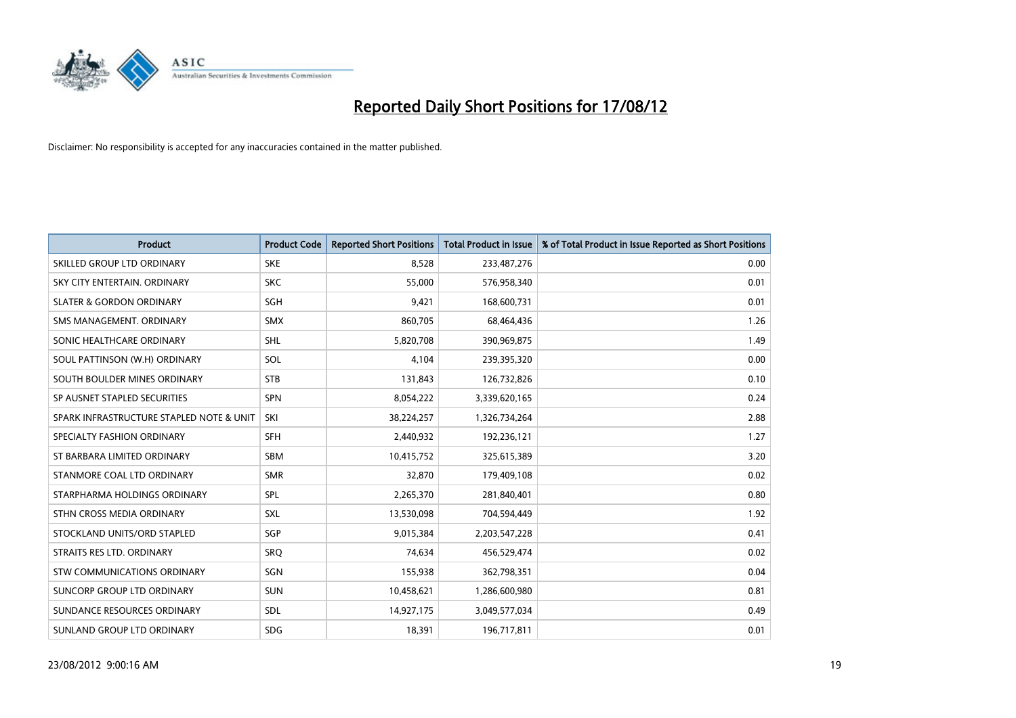

| <b>Product</b>                           | <b>Product Code</b> | <b>Reported Short Positions</b> | <b>Total Product in Issue</b> | % of Total Product in Issue Reported as Short Positions |
|------------------------------------------|---------------------|---------------------------------|-------------------------------|---------------------------------------------------------|
| SKILLED GROUP LTD ORDINARY               | <b>SKE</b>          | 8,528                           | 233,487,276                   | 0.00                                                    |
| SKY CITY ENTERTAIN, ORDINARY             | <b>SKC</b>          | 55,000                          | 576,958,340                   | 0.01                                                    |
| <b>SLATER &amp; GORDON ORDINARY</b>      | SGH                 | 9,421                           | 168,600,731                   | 0.01                                                    |
| SMS MANAGEMENT, ORDINARY                 | <b>SMX</b>          | 860,705                         | 68,464,436                    | 1.26                                                    |
| SONIC HEALTHCARE ORDINARY                | <b>SHL</b>          | 5,820,708                       | 390,969,875                   | 1.49                                                    |
| SOUL PATTINSON (W.H) ORDINARY            | SOL                 | 4,104                           | 239,395,320                   | 0.00                                                    |
| SOUTH BOULDER MINES ORDINARY             | <b>STB</b>          | 131,843                         | 126,732,826                   | 0.10                                                    |
| SP AUSNET STAPLED SECURITIES             | <b>SPN</b>          | 8,054,222                       | 3,339,620,165                 | 0.24                                                    |
| SPARK INFRASTRUCTURE STAPLED NOTE & UNIT | SKI                 | 38,224,257                      | 1,326,734,264                 | 2.88                                                    |
| SPECIALTY FASHION ORDINARY               | <b>SFH</b>          | 2,440,932                       | 192,236,121                   | 1.27                                                    |
| ST BARBARA LIMITED ORDINARY              | <b>SBM</b>          | 10,415,752                      | 325,615,389                   | 3.20                                                    |
| STANMORE COAL LTD ORDINARY               | <b>SMR</b>          | 32,870                          | 179,409,108                   | 0.02                                                    |
| STARPHARMA HOLDINGS ORDINARY             | SPL                 | 2,265,370                       | 281,840,401                   | 0.80                                                    |
| STHN CROSS MEDIA ORDINARY                | <b>SXL</b>          | 13,530,098                      | 704,594,449                   | 1.92                                                    |
| STOCKLAND UNITS/ORD STAPLED              | SGP                 | 9,015,384                       | 2,203,547,228                 | 0.41                                                    |
| STRAITS RES LTD. ORDINARY                | SRO                 | 74,634                          | 456,529,474                   | 0.02                                                    |
| STW COMMUNICATIONS ORDINARY              | SGN                 | 155,938                         | 362,798,351                   | 0.04                                                    |
| SUNCORP GROUP LTD ORDINARY               | <b>SUN</b>          | 10,458,621                      | 1,286,600,980                 | 0.81                                                    |
| SUNDANCE RESOURCES ORDINARY              | <b>SDL</b>          | 14,927,175                      | 3,049,577,034                 | 0.49                                                    |
| SUNLAND GROUP LTD ORDINARY               | <b>SDG</b>          | 18,391                          | 196,717,811                   | 0.01                                                    |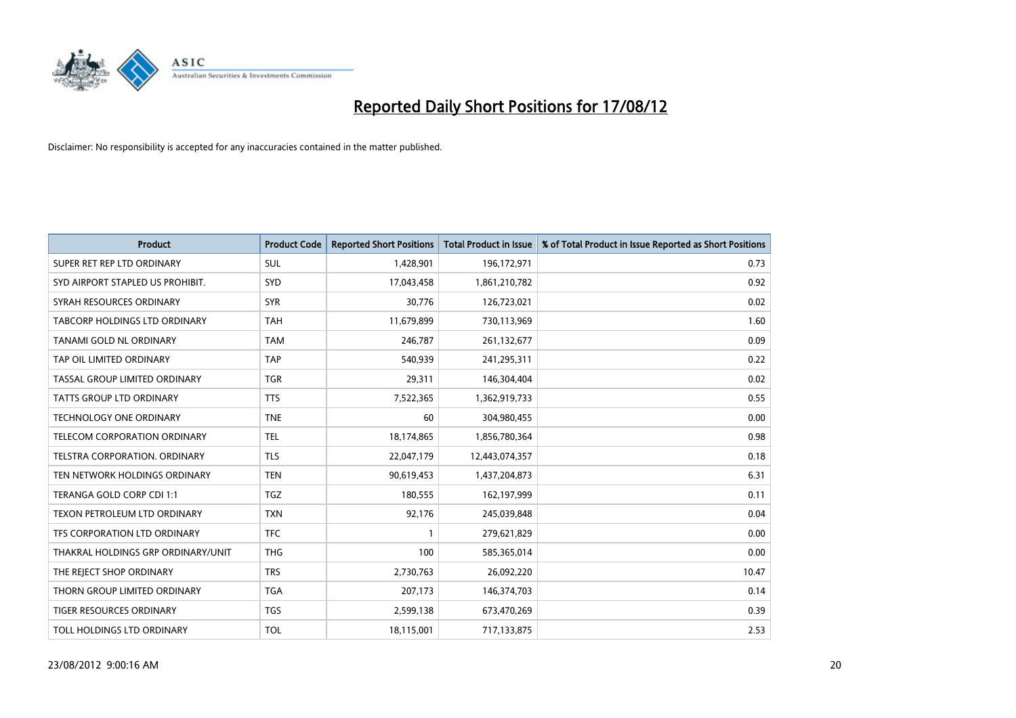

| <b>Product</b>                     | <b>Product Code</b> | <b>Reported Short Positions</b> | <b>Total Product in Issue</b> | % of Total Product in Issue Reported as Short Positions |
|------------------------------------|---------------------|---------------------------------|-------------------------------|---------------------------------------------------------|
| SUPER RET REP LTD ORDINARY         | <b>SUL</b>          | 1,428,901                       | 196,172,971                   | 0.73                                                    |
| SYD AIRPORT STAPLED US PROHIBIT.   | <b>SYD</b>          | 17,043,458                      | 1,861,210,782                 | 0.92                                                    |
| SYRAH RESOURCES ORDINARY           | <b>SYR</b>          | 30,776                          | 126,723,021                   | 0.02                                                    |
| TABCORP HOLDINGS LTD ORDINARY      | <b>TAH</b>          | 11,679,899                      | 730,113,969                   | 1.60                                                    |
| TANAMI GOLD NL ORDINARY            | <b>TAM</b>          | 246,787                         | 261,132,677                   | 0.09                                                    |
| TAP OIL LIMITED ORDINARY           | <b>TAP</b>          | 540,939                         | 241,295,311                   | 0.22                                                    |
| TASSAL GROUP LIMITED ORDINARY      | <b>TGR</b>          | 29,311                          | 146,304,404                   | 0.02                                                    |
| TATTS GROUP LTD ORDINARY           | <b>TTS</b>          | 7,522,365                       | 1,362,919,733                 | 0.55                                                    |
| <b>TECHNOLOGY ONE ORDINARY</b>     | <b>TNE</b>          | 60                              | 304,980,455                   | 0.00                                                    |
| TELECOM CORPORATION ORDINARY       | <b>TEL</b>          | 18,174,865                      | 1,856,780,364                 | 0.98                                                    |
| TELSTRA CORPORATION. ORDINARY      | <b>TLS</b>          | 22,047,179                      | 12,443,074,357                | 0.18                                                    |
| TEN NETWORK HOLDINGS ORDINARY      | <b>TEN</b>          | 90,619,453                      | 1,437,204,873                 | 6.31                                                    |
| TERANGA GOLD CORP CDI 1:1          | <b>TGZ</b>          | 180,555                         | 162,197,999                   | 0.11                                                    |
| TEXON PETROLEUM LTD ORDINARY       | <b>TXN</b>          | 92,176                          | 245,039,848                   | 0.04                                                    |
| TFS CORPORATION LTD ORDINARY       | <b>TFC</b>          |                                 | 279,621,829                   | 0.00                                                    |
| THAKRAL HOLDINGS GRP ORDINARY/UNIT | <b>THG</b>          | 100                             | 585,365,014                   | 0.00                                                    |
| THE REJECT SHOP ORDINARY           | <b>TRS</b>          | 2,730,763                       | 26,092,220                    | 10.47                                                   |
| THORN GROUP LIMITED ORDINARY       | <b>TGA</b>          | 207,173                         | 146,374,703                   | 0.14                                                    |
| TIGER RESOURCES ORDINARY           | <b>TGS</b>          | 2,599,138                       | 673,470,269                   | 0.39                                                    |
| TOLL HOLDINGS LTD ORDINARY         | <b>TOL</b>          | 18,115,001                      | 717,133,875                   | 2.53                                                    |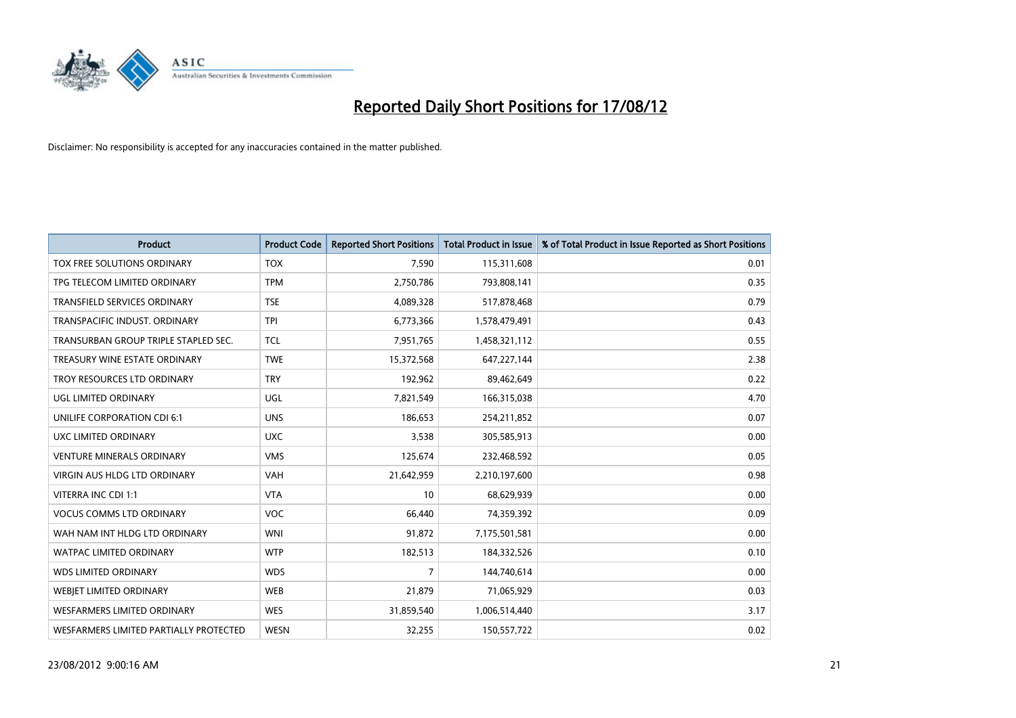

| <b>Product</b>                         | <b>Product Code</b> | <b>Reported Short Positions</b> | <b>Total Product in Issue</b> | % of Total Product in Issue Reported as Short Positions |
|----------------------------------------|---------------------|---------------------------------|-------------------------------|---------------------------------------------------------|
| TOX FREE SOLUTIONS ORDINARY            | <b>TOX</b>          | 7,590                           | 115,311,608                   | 0.01                                                    |
| TPG TELECOM LIMITED ORDINARY           | <b>TPM</b>          | 2,750,786                       | 793,808,141                   | 0.35                                                    |
| TRANSFIELD SERVICES ORDINARY           | <b>TSE</b>          | 4,089,328                       | 517,878,468                   | 0.79                                                    |
| TRANSPACIFIC INDUST. ORDINARY          | <b>TPI</b>          | 6,773,366                       | 1,578,479,491                 | 0.43                                                    |
| TRANSURBAN GROUP TRIPLE STAPLED SEC.   | <b>TCL</b>          | 7,951,765                       | 1,458,321,112                 | 0.55                                                    |
| TREASURY WINE ESTATE ORDINARY          | <b>TWE</b>          | 15,372,568                      | 647,227,144                   | 2.38                                                    |
| TROY RESOURCES LTD ORDINARY            | <b>TRY</b>          | 192,962                         | 89,462,649                    | 0.22                                                    |
| UGL LIMITED ORDINARY                   | UGL                 | 7,821,549                       | 166,315,038                   | 4.70                                                    |
| UNILIFE CORPORATION CDI 6:1            | <b>UNS</b>          | 186,653                         | 254,211,852                   | 0.07                                                    |
| UXC LIMITED ORDINARY                   | <b>UXC</b>          | 3,538                           | 305,585,913                   | 0.00                                                    |
| <b>VENTURE MINERALS ORDINARY</b>       | <b>VMS</b>          | 125,674                         | 232,468,592                   | 0.05                                                    |
| <b>VIRGIN AUS HLDG LTD ORDINARY</b>    | VAH                 | 21,642,959                      | 2,210,197,600                 | 0.98                                                    |
| VITERRA INC CDI 1:1                    | <b>VTA</b>          | 10                              | 68,629,939                    | 0.00                                                    |
| <b>VOCUS COMMS LTD ORDINARY</b>        | <b>VOC</b>          | 66,440                          | 74,359,392                    | 0.09                                                    |
| WAH NAM INT HLDG LTD ORDINARY          | <b>WNI</b>          | 91,872                          | 7,175,501,581                 | 0.00                                                    |
| <b>WATPAC LIMITED ORDINARY</b>         | <b>WTP</b>          | 182,513                         | 184,332,526                   | 0.10                                                    |
| <b>WDS LIMITED ORDINARY</b>            | <b>WDS</b>          | 7                               | 144,740,614                   | 0.00                                                    |
| WEBJET LIMITED ORDINARY                | <b>WEB</b>          | 21,879                          | 71,065,929                    | 0.03                                                    |
| <b>WESFARMERS LIMITED ORDINARY</b>     | <b>WES</b>          | 31,859,540                      | 1,006,514,440                 | 3.17                                                    |
| WESFARMERS LIMITED PARTIALLY PROTECTED | <b>WESN</b>         | 32,255                          | 150,557,722                   | 0.02                                                    |